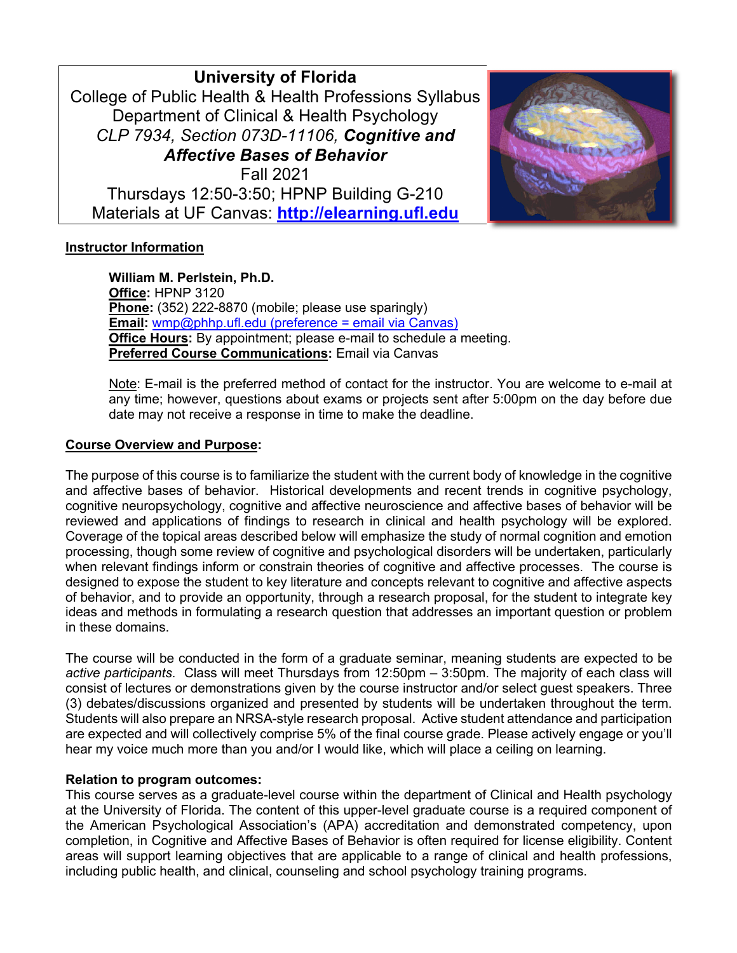**University of Florida** College of Public Health & Health Professions Syllabus Department of Clinical & Health Psychology *CLP 7934, Section 073D-11106, Cognitive and Affective Bases of Behavior* Fall 2021 Thursdays 12:50-3:50; HPNP Building G-210 Materials at UF Canvas: **http://elearning.ufl.edu**



# **Instructor Information**

**William M. Perlstein, Ph.D. Office:** HPNP 3120 **Phone:** (352) 222-8870 (mobile; please use sparingly) **Email:** wmp@phhp.ufl.edu (preference = email via Canvas) **Office Hours:** By appointment; please e-mail to schedule a meeting. **Preferred Course Communications:** Email via Canvas

Note: E-mail is the preferred method of contact for the instructor. You are welcome to e-mail at any time; however, questions about exams or projects sent after 5:00pm on the day before due date may not receive a response in time to make the deadline.

# **Course Overview and Purpose:**

The purpose of this course is to familiarize the student with the current body of knowledge in the cognitive and affective bases of behavior. Historical developments and recent trends in cognitive psychology, cognitive neuropsychology, cognitive and affective neuroscience and affective bases of behavior will be reviewed and applications of findings to research in clinical and health psychology will be explored. Coverage of the topical areas described below will emphasize the study of normal cognition and emotion processing, though some review of cognitive and psychological disorders will be undertaken, particularly when relevant findings inform or constrain theories of cognitive and affective processes. The course is designed to expose the student to key literature and concepts relevant to cognitive and affective aspects of behavior, and to provide an opportunity, through a research proposal, for the student to integrate key ideas and methods in formulating a research question that addresses an important question or problem in these domains.

The course will be conducted in the form of a graduate seminar, meaning students are expected to be *active participants*. Class will meet Thursdays from 12:50pm – 3:50pm. The majority of each class will consist of lectures or demonstrations given by the course instructor and/or select guest speakers. Three (3) debates/discussions organized and presented by students will be undertaken throughout the term. Students will also prepare an NRSA-style research proposal. Active student attendance and participation are expected and will collectively comprise 5% of the final course grade. Please actively engage or you'll hear my voice much more than you and/or I would like, which will place a ceiling on learning.

#### **Relation to program outcomes:**

This course serves as a graduate-level course within the department of Clinical and Health psychology at the University of Florida. The content of this upper-level graduate course is a required component of the American Psychological Association's (APA) accreditation and demonstrated competency, upon completion, in Cognitive and Affective Bases of Behavior is often required for license eligibility. Content areas will support learning objectives that are applicable to a range of clinical and health professions, including public health, and clinical, counseling and school psychology training programs.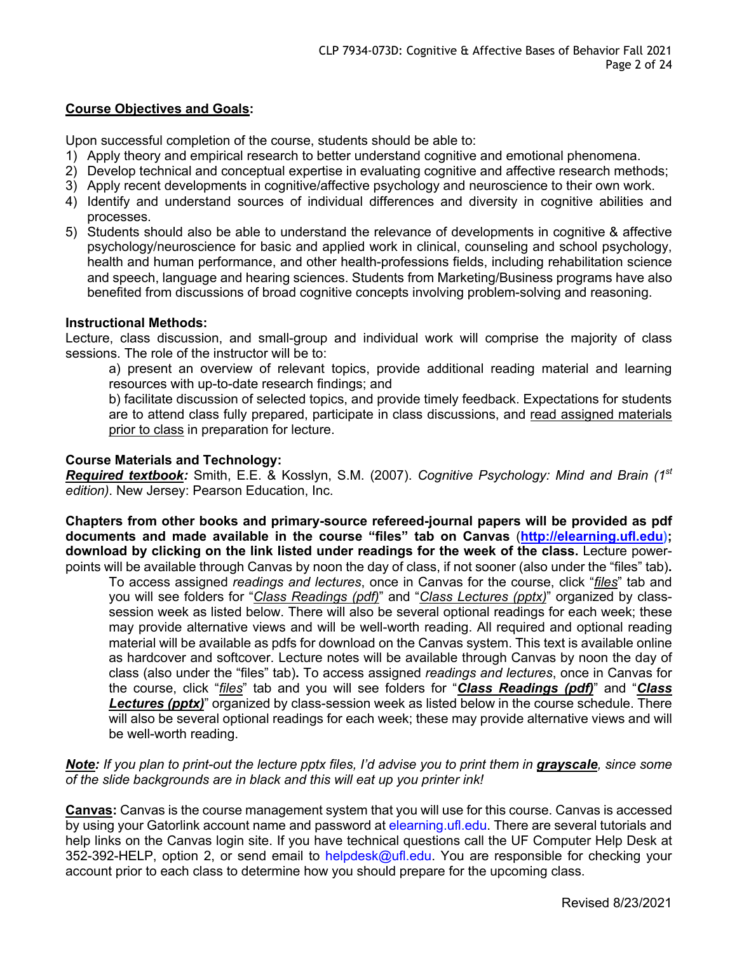# **Course Objectives and Goals:**

Upon successful completion of the course, students should be able to:

- 1) Apply theory and empirical research to better understand cognitive and emotional phenomena.
- 2) Develop technical and conceptual expertise in evaluating cognitive and affective research methods;
- 3) Apply recent developments in cognitive/affective psychology and neuroscience to their own work.
- 4) Identify and understand sources of individual differences and diversity in cognitive abilities and processes.
- 5) Students should also be able to understand the relevance of developments in cognitive & affective psychology/neuroscience for basic and applied work in clinical, counseling and school psychology, health and human performance, and other health-professions fields, including rehabilitation science and speech, language and hearing sciences. Students from Marketing/Business programs have also benefited from discussions of broad cognitive concepts involving problem-solving and reasoning.

#### **Instructional Methods:**

Lecture, class discussion, and small-group and individual work will comprise the majority of class sessions. The role of the instructor will be to:

a) present an overview of relevant topics, provide additional reading material and learning resources with up-to-date research findings; and

b) facilitate discussion of selected topics, and provide timely feedback. Expectations for students are to attend class fully prepared, participate in class discussions, and read assigned materials prior to class in preparation for lecture.

# **Course Materials and Technology:**

*Required textbook:* Smith, E.E. & Kosslyn, S.M. (2007). *Cognitive Psychology: Mind and Brain (1st edition)*. New Jersey: Pearson Education, Inc.

**Chapters from other books and primary-source refereed-journal papers will be provided as pdf documents and made available in the course "files" tab on Canvas** (**http://elearning.ufl.edu); download by clicking on the link listed under readings for the week of the class.** Lecture powerpoints will be available through Canvas by noon the day of class, if not sooner (also under the "files" tab)**.**

To access assigned *readings and lectures*, once in Canvas for the course, click "*files*" tab and you will see folders for "*Class Readings (pdf)*" and "*Class Lectures (pptx)*" organized by classsession week as listed below. There will also be several optional readings for each week; these may provide alternative views and will be well-worth reading. All required and optional reading material will be available as pdfs for download on the Canvas system. This text is available online as hardcover and softcover. Lecture notes will be available through Canvas by noon the day of class (also under the "files" tab)**.** To access assigned *readings and lectures*, once in Canvas for the course, click "*files*" tab and you will see folders for "*Class Readings (pdf)*" and "*Class*  **Lectures (pptx)**" organized by class-session week as listed below in the course schedule. There will also be several optional readings for each week; these may provide alternative views and will be well-worth reading.

# *Note: If you plan to print-out the lecture pptx files, I'd advise you to print them in grayscale, since some of the slide backgrounds are in black and this will eat up you printer ink!*

**Canvas:** Canvas is the course management system that you will use for this course. Canvas is accessed by using your Gatorlink account name and password at elearning.ufl.edu. There are several tutorials and help links on the Canvas login site. If you have technical questions call the UF Computer Help Desk at 352-392-HELP, option 2, or send email to helpdesk@ufl.edu. You are responsible for checking your account prior to each class to determine how you should prepare for the upcoming class.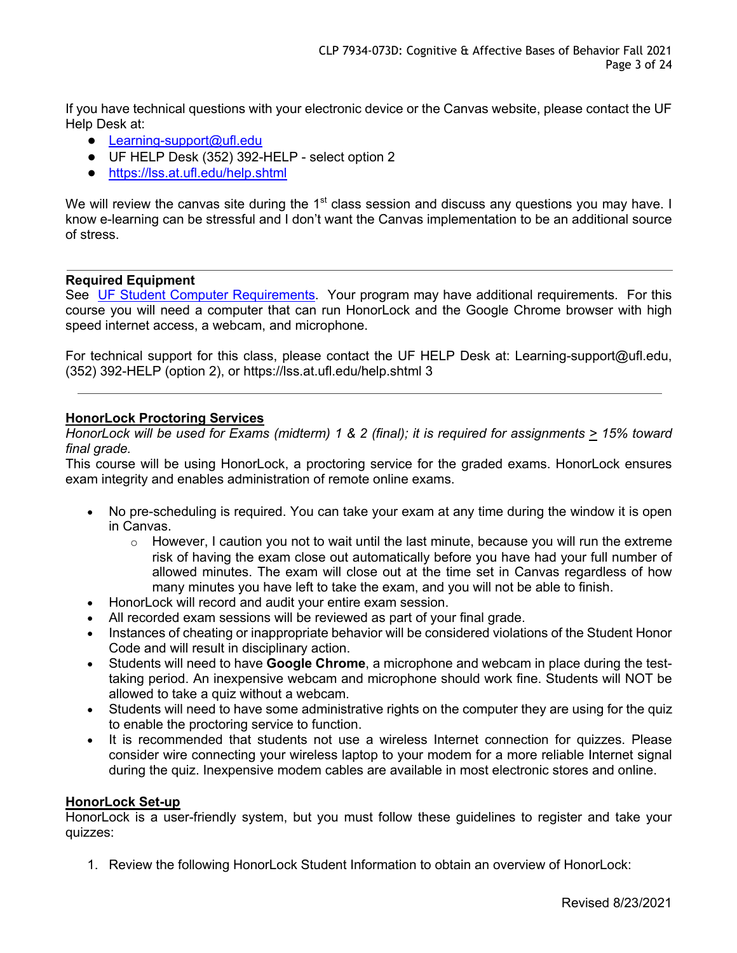If you have technical questions with your electronic device or the Canvas website, please contact the UF Help Desk at:

- Learning-support@ufl.edu
- UF HELP Desk (352) 392-HELP select option 2
- https://lss.at.ufl.edu/help.shtml

We will review the canvas site during the 1<sup>st</sup> class session and discuss any questions you may have. I know e-learning can be stressful and I don't want the Canvas implementation to be an additional source of stress.

# **Required Equipment**

See UF Student Computer Requirements. Your program may have additional requirements. For this course you will need a computer that can run HonorLock and the Google Chrome browser with high speed internet access, a webcam, and microphone.

For technical support for this class, please contact the UF HELP Desk at: Learning-support@ufl.edu, (352) 392-HELP (option 2), or https://lss.at.ufl.edu/help.shtml 3

# **HonorLock Proctoring Services**

*HonorLock will be used for Exams (midterm) 1 & 2 (final); it is required for assignments > 15% toward final grade.*

This course will be using HonorLock, a proctoring service for the graded exams. HonorLock ensures exam integrity and enables administration of remote online exams.

- No pre-scheduling is required. You can take your exam at any time during the window it is open in Canvas.
	- $\circ$  However, I caution you not to wait until the last minute, because you will run the extreme risk of having the exam close out automatically before you have had your full number of allowed minutes. The exam will close out at the time set in Canvas regardless of how many minutes you have left to take the exam, and you will not be able to finish.
- HonorLock will record and audit your entire exam session.
- All recorded exam sessions will be reviewed as part of your final grade.
- Instances of cheating or inappropriate behavior will be considered violations of the Student Honor Code and will result in disciplinary action.
- Students will need to have **Google Chrome**, a microphone and webcam in place during the testtaking period. An inexpensive webcam and microphone should work fine. Students will NOT be allowed to take a quiz without a webcam.
- Students will need to have some administrative rights on the computer they are using for the quiz to enable the proctoring service to function.
- It is recommended that students not use a wireless Internet connection for quizzes. Please consider wire connecting your wireless laptop to your modem for a more reliable Internet signal during the quiz. Inexpensive modem cables are available in most electronic stores and online.

#### **HonorLock Set-up**

HonorLock is a user-friendly system, but you must follow these guidelines to register and take your quizzes:

1. Review the following HonorLock Student Information to obtain an overview of HonorLock: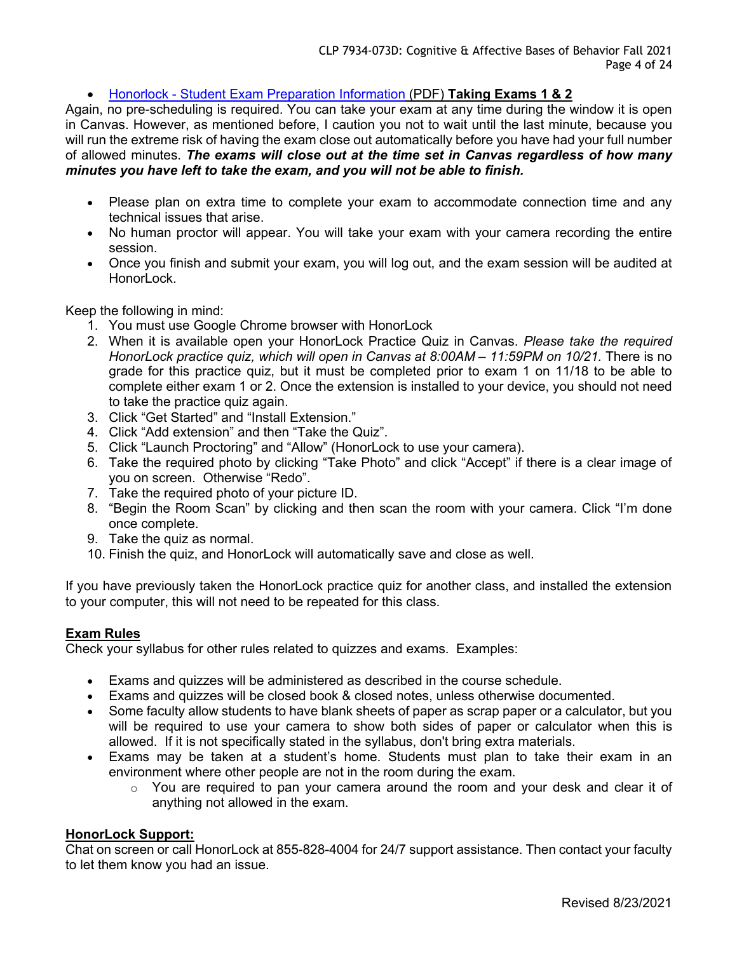• Honorlock - Student Exam Preparation Information (PDF) **Taking Exams 1 & 2**

Again, no pre-scheduling is required. You can take your exam at any time during the window it is open in Canvas. However, as mentioned before, I caution you not to wait until the last minute, because you will run the extreme risk of having the exam close out automatically before you have had your full number of allowed minutes. *The exams will close out at the time set in Canvas regardless of how many minutes you have left to take the exam, and you will not be able to finish.*

- Please plan on extra time to complete your exam to accommodate connection time and any technical issues that arise.
- No human proctor will appear. You will take your exam with your camera recording the entire session.
- Once you finish and submit your exam, you will log out, and the exam session will be audited at HonorLock.

Keep the following in mind:

- 1. You must use Google Chrome browser with HonorLock
- 2. When it is available open your HonorLock Practice Quiz in Canvas. *Please take the required HonorLock practice quiz, which will open in Canvas at 8:00AM – 11:59PM on 10/21.* There is no grade for this practice quiz, but it must be completed prior to exam 1 on 11/18 to be able to complete either exam 1 or 2. Once the extension is installed to your device, you should not need to take the practice quiz again.
- 3. Click "Get Started" and "Install Extension."
- 4. Click "Add extension" and then "Take the Quiz".
- 5. Click "Launch Proctoring" and "Allow" (HonorLock to use your camera).
- 6. Take the required photo by clicking "Take Photo" and click "Accept" if there is a clear image of you on screen. Otherwise "Redo".
- 7. Take the required photo of your picture ID.
- 8. "Begin the Room Scan" by clicking and then scan the room with your camera. Click "I'm done once complete.
- 9. Take the quiz as normal.
- 10. Finish the quiz, and HonorLock will automatically save and close as well.

If you have previously taken the HonorLock practice quiz for another class, and installed the extension to your computer, this will not need to be repeated for this class.

#### **Exam Rules**

Check your syllabus for other rules related to quizzes and exams. Examples:

- Exams and quizzes will be administered as described in the course schedule.
- Exams and quizzes will be closed book & closed notes, unless otherwise documented.
- Some faculty allow students to have blank sheets of paper as scrap paper or a calculator, but you will be required to use your camera to show both sides of paper or calculator when this is allowed. If it is not specifically stated in the syllabus, don't bring extra materials.
- Exams may be taken at a student's home. Students must plan to take their exam in an environment where other people are not in the room during the exam.
	- o You are required to pan your camera around the room and your desk and clear it of anything not allowed in the exam.

### **HonorLock Support:**

Chat on screen or call HonorLock at 855-828-4004 for 24/7 support assistance. Then contact your faculty to let them know you had an issue.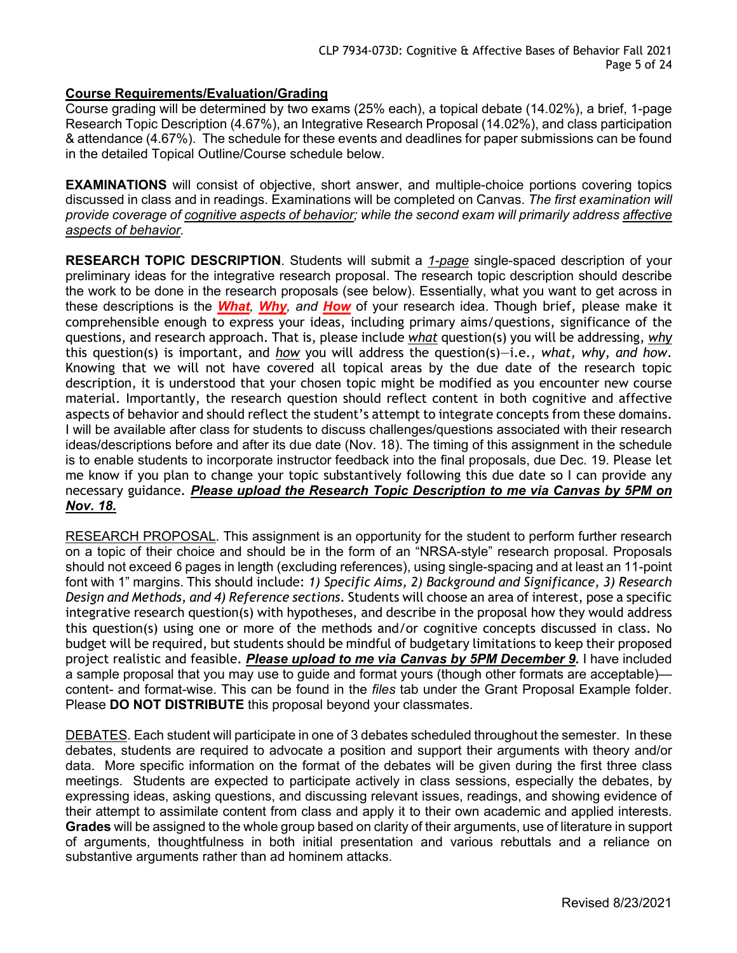# **Course Requirements/Evaluation/Grading**

Course grading will be determined by two exams (25% each), a topical debate (14.02%), a brief, 1-page Research Topic Description (4.67%), an Integrative Research Proposal (14.02%), and class participation & attendance (4.67%). The schedule for these events and deadlines for paper submissions can be found in the detailed Topical Outline/Course schedule below.

**EXAMINATIONS** will consist of objective, short answer, and multiple-choice portions covering topics discussed in class and in readings. Examinations will be completed on Canvas. *The first examination will provide coverage of cognitive aspects of behavior; while the second exam will primarily address affective aspects of behavior.*

**RESEARCH TOPIC DESCRIPTION**. Students will submit a *1-page* single-spaced description of your preliminary ideas for the integrative research proposal. The research topic description should describe the work to be done in the research proposals (see below). Essentially, what you want to get across in these descriptions is the *What, Why, and How* of your research idea. Though brief, please make it comprehensible enough to express your ideas, including primary aims/questions, significance of the questions, and research approach. That is, please include *what* question(s) you will be addressing, *why* this question(s) is important, and *how* you will address the question(s)—i.e., *what, why, and how*. Knowing that we will not have covered all topical areas by the due date of the research topic description, it is understood that your chosen topic might be modified as you encounter new course material. Importantly, the research question should reflect content in both cognitive and affective aspects of behavior and should reflect the student's attempt to integrate concepts from these domains. I will be available after class for students to discuss challenges/questions associated with their research ideas/descriptions before and after its due date (Nov. 18). The timing of this assignment in the schedule is to enable students to incorporate instructor feedback into the final proposals, due Dec. 19. Please let me know if you plan to change your topic substantively following this due date so I can provide any necessary guidance. *Please upload the Research Topic Description to me via Canvas by 5PM on Nov. 18.*

RESEARCH PROPOSAL. This assignment is an opportunity for the student to perform further research on a topic of their choice and should be in the form of an "NRSA-style" research proposal. Proposals should not exceed 6 pages in length (excluding references), using single-spacing and at least an 11-point font with 1" margins. This should include: *1) Specific Aims, 2) Background and Significance, 3) Research Design and Methods, and 4) Reference sections*. Students will choose an area of interest, pose a specific integrative research question(s) with hypotheses, and describe in the proposal how they would address this question(s) using one or more of the methods and/or cognitive concepts discussed in class. No budget will be required, but students should be mindful of budgetary limitations to keep their proposed project realistic and feasible. *Please upload to me via Canvas by 5PM December 9.* I have included a sample proposal that you may use to guide and format yours (though other formats are acceptable) content- and format-wise. This can be found in the *files* tab under the Grant Proposal Example folder. Please **DO NOT DISTRIBUTE** this proposal beyond your classmates.

DEBATES. Each student will participate in one of 3 debates scheduled throughout the semester. In these debates, students are required to advocate a position and support their arguments with theory and/or data. More specific information on the format of the debates will be given during the first three class meetings. Students are expected to participate actively in class sessions, especially the debates, by expressing ideas, asking questions, and discussing relevant issues, readings, and showing evidence of their attempt to assimilate content from class and apply it to their own academic and applied interests. **Grades** will be assigned to the whole group based on clarity of their arguments, use of literature in support of arguments, thoughtfulness in both initial presentation and various rebuttals and a reliance on substantive arguments rather than ad hominem attacks.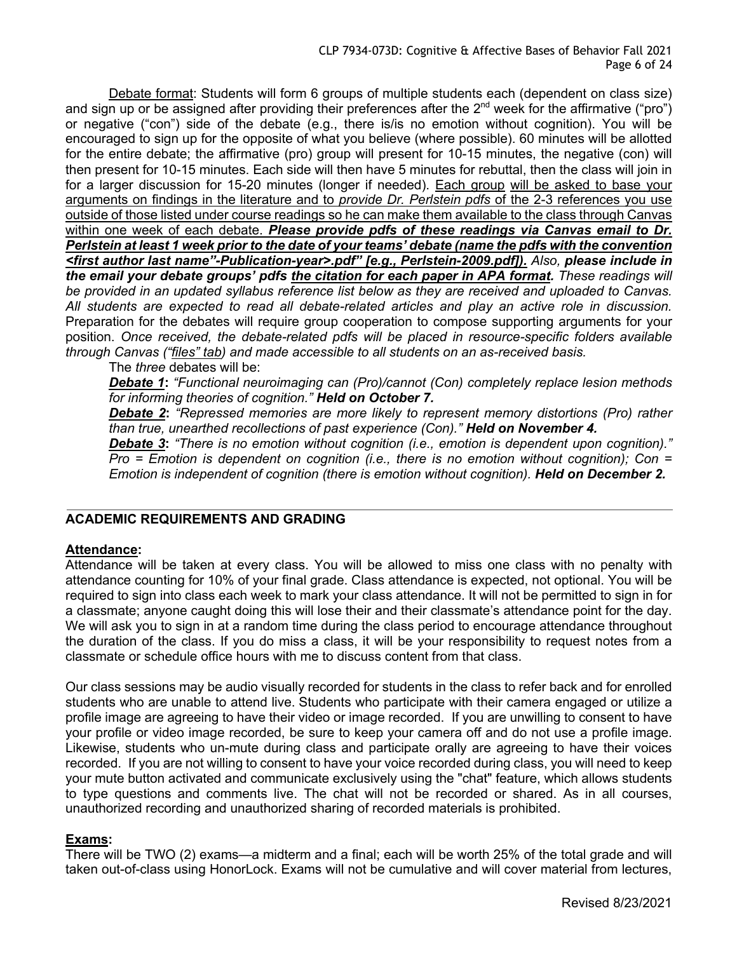Debate format: Students will form 6 groups of multiple students each (dependent on class size) and sign up or be assigned after providing their preferences after the  $2^{nd}$  week for the affirmative ("pro") or negative ("con") side of the debate (e.g., there is/is no emotion without cognition). You will be encouraged to sign up for the opposite of what you believe (where possible). 60 minutes will be allotted for the entire debate; the affirmative (pro) group will present for 10-15 minutes, the negative (con) will then present for 10-15 minutes. Each side will then have 5 minutes for rebuttal, then the class will join in for a larger discussion for 15-20 minutes (longer if needed). Each group will be asked to base your arguments on findings in the literature and to *provide Dr. Perlstein pdfs* of the 2-3 references you use outside of those listed under course readings so he can make them available to the class through Canvas within one week of each debate. *Please provide pdfs of these readings via Canvas email to Dr. Perlstein at least 1 week prior to the date of your teams' debate (name the pdfs with the convention <first author last name"-Publication-year>.pdf" [e.g., Perlstein-2009.pdf]). Also, please include in the email your debate groups' pdfs the citation for each paper in APA format. These readings will be provided in an updated syllabus reference list below as they are received and uploaded to Canvas. All students are expected to read all debate-related articles and play an active role in discussion.* Preparation for the debates will require group cooperation to compose supporting arguments for your position. *Once received, the debate-related pdfs will be placed in resource-specific folders available through Canvas ("files" tab) and made accessible to all students on an as-received basis.*

The *three* debates will be:

*Debate 1***:** *"Functional neuroimaging can (Pro)/cannot (Con) completely replace lesion methods for informing theories of cognition." Held on October 7.*

*Debate 2***:** *"Repressed memories are more likely to represent memory distortions (Pro) rather than true, unearthed recollections of past experience (Con)." Held on November 4.*

*Debate 3***:** *"There is no emotion without cognition (i.e., emotion is dependent upon cognition)." Pro = Emotion is dependent on cognition (i.e., there is no emotion without cognition); Con = Emotion is independent of cognition (there is emotion without cognition). Held on December 2.*

# **ACADEMIC REQUIREMENTS AND GRADING**

#### **Attendance:**

Attendance will be taken at every class. You will be allowed to miss one class with no penalty with attendance counting for 10% of your final grade. Class attendance is expected, not optional. You will be required to sign into class each week to mark your class attendance. It will not be permitted to sign in for a classmate; anyone caught doing this will lose their and their classmate's attendance point for the day. We will ask you to sign in at a random time during the class period to encourage attendance throughout the duration of the class. If you do miss a class, it will be your responsibility to request notes from a classmate or schedule office hours with me to discuss content from that class.

Our class sessions may be audio visually recorded for students in the class to refer back and for enrolled students who are unable to attend live. Students who participate with their camera engaged or utilize a profile image are agreeing to have their video or image recorded. If you are unwilling to consent to have your profile or video image recorded, be sure to keep your camera off and do not use a profile image. Likewise, students who un-mute during class and participate orally are agreeing to have their voices recorded. If you are not willing to consent to have your voice recorded during class, you will need to keep your mute button activated and communicate exclusively using the "chat" feature, which allows students to type questions and comments live. The chat will not be recorded or shared. As in all courses, unauthorized recording and unauthorized sharing of recorded materials is prohibited.

#### **Exams:**

There will be TWO (2) exams—a midterm and a final; each will be worth 25% of the total grade and will taken out-of-class using HonorLock. Exams will not be cumulative and will cover material from lectures,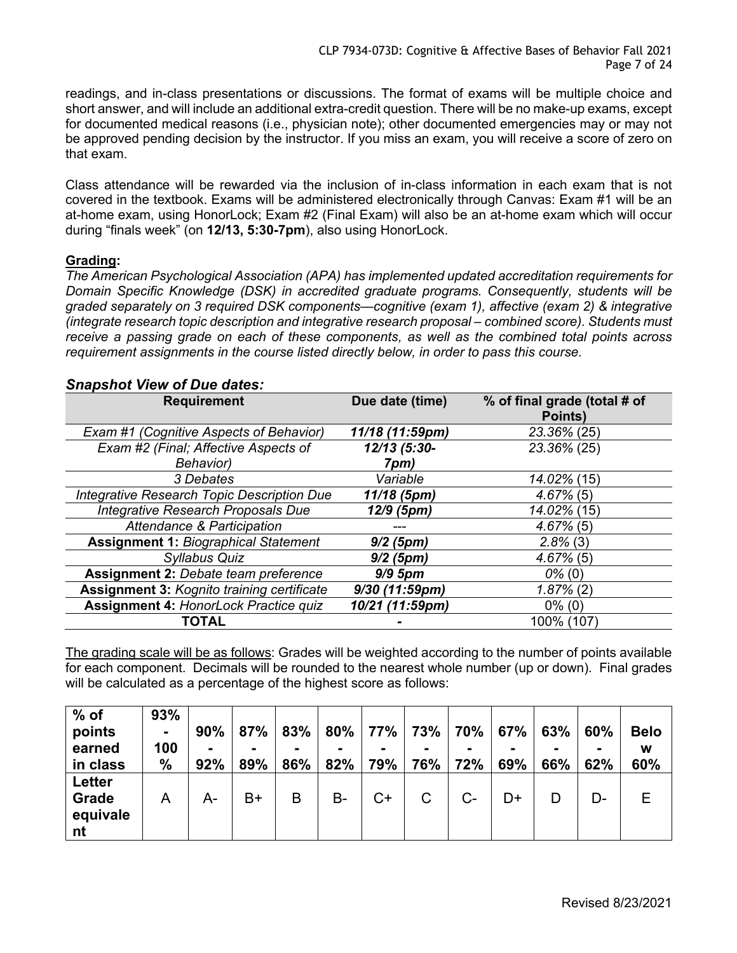readings, and in-class presentations or discussions. The format of exams will be multiple choice and short answer, and will include an additional extra-credit question. There will be no make-up exams, except for documented medical reasons (i.e., physician note); other documented emergencies may or may not be approved pending decision by the instructor. If you miss an exam, you will receive a score of zero on that exam.

Class attendance will be rewarded via the inclusion of in-class information in each exam that is not covered in the textbook. Exams will be administered electronically through Canvas: Exam #1 will be an at-home exam, using HonorLock; Exam #2 (Final Exam) will also be an at-home exam which will occur during "finals week" (on **12/13, 5:30-7pm**), also using HonorLock.

# **Grading:**

*The American Psychological Association (APA) has implemented updated accreditation requirements for Domain Specific Knowledge (DSK) in accredited graduate programs. Consequently, students will be graded separately on 3 required DSK components—cognitive (exam 1), affective (exam 2) & integrative (integrate research topic description and integrative research proposal – combined score). Students must receive a passing grade on each of these components, as well as the combined total points across requirement assignments in the course listed directly below, in order to pass this course.*

| <b>Requirement</b>                                | Due date (time)  | % of final grade (total # of<br>Points) |
|---------------------------------------------------|------------------|-----------------------------------------|
| Exam #1 (Cognitive Aspects of Behavior)           | 11/18 (11:59pm)  | 23.36% (25)                             |
| Exam #2 (Final; Affective Aspects of              | 12/13 (5:30-     | 23.36% (25)                             |
| Behavior)                                         | 7pm)             |                                         |
| 3 Debates                                         | Variable         | 14.02% (15)                             |
| Integrative Research Topic Description Due        | 11/18 (5pm)      | $4.67\%$ (5)                            |
| Integrative Research Proposals Due                | 12/9 (5pm)       | 14.02% (15)                             |
| Attendance & Participation                        |                  | $4.67\%$ (5)                            |
| <b>Assignment 1: Biographical Statement</b>       | $9/2$ (5pm)      | $2.8\%$ (3)                             |
| Syllabus Quiz                                     | $9/2$ (5pm)      | $4.67\%$ (5)                            |
| <b>Assignment 2: Debate team preference</b>       | $9/9$ 5pm        | $0\%$ (0)                               |
| <b>Assignment 3: Kognito training certificate</b> | $9/30$ (11:59pm) | $1.87\%$ (2)                            |
| <b>Assignment 4: HonorLock Practice quiz</b>      | 10/21 (11:59pm)  | $0\%$ (0)                               |
| TOTAL                                             |                  | 100% (107)                              |

# *Snapshot View of Due dates:*

The grading scale will be as follows: Grades will be weighted according to the number of points available for each component. Decimals will be rounded to the nearest whole number (up or down). Final grades will be calculated as a percentage of the highest score as follows:

| $%$ of        | 93%  |     |      |     |        |      |     |     |     |                |     |             |
|---------------|------|-----|------|-----|--------|------|-----|-----|-----|----------------|-----|-------------|
| points        | ٠    | 90% | 87%  | 83% | $80\%$ | 77%  | 73% | 70% | 67% | 63%            | 60% | <b>Belo</b> |
| earned        | 100  |     |      |     |        |      |     |     |     | $\blacksquare$ |     | W           |
| in class      | $\%$ | 92% | 89%  | 86% | 82%    | 79%  | 76% | 72% | 69% | 66%            | 62% | 60%         |
| <b>Letter</b> |      |     |      |     |        |      |     |     |     |                |     |             |
| <b>Grade</b>  | Α    | А-  | $B+$ | B   | B-     | $C+$ | С   | C-  | D+  | D              | D-  | Е           |
| equivale      |      |     |      |     |        |      |     |     |     |                |     |             |
| nt            |      |     |      |     |        |      |     |     |     |                |     |             |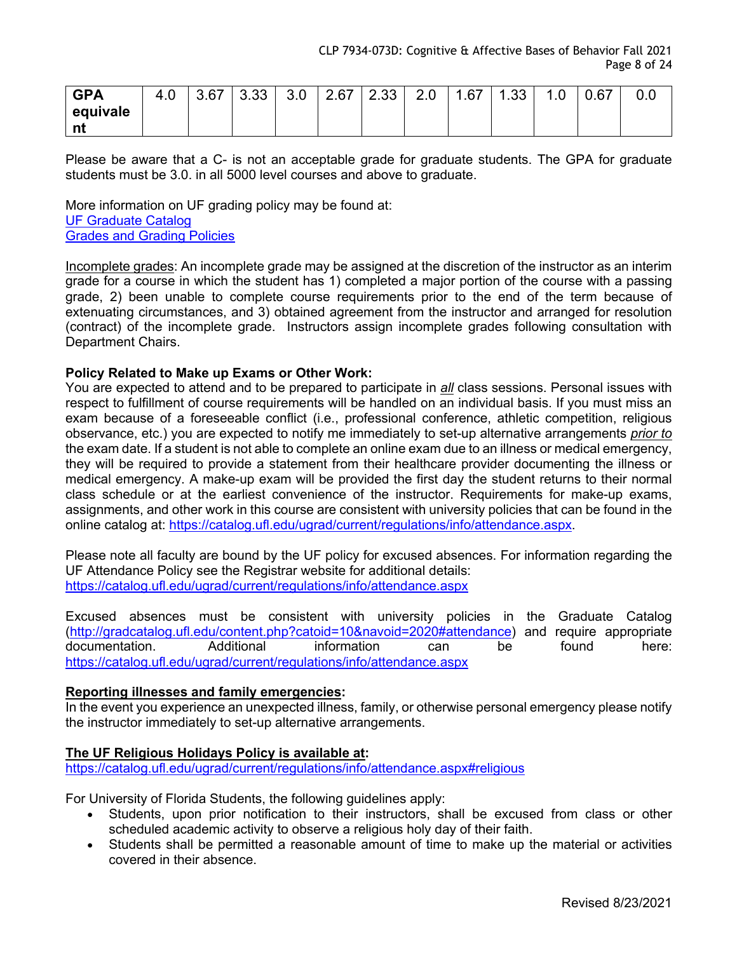| <b>GPA</b>       | $\sim$<br>4.0 | 3.67 | ממ מ<br>ა.აა | 2 U<br>.J.U | 2.67 | つっっ<br>ںں.ء | 2.0 | .67<br>-4 | ററ<br>ں | ں. | 0.67 | v.v |
|------------------|---------------|------|--------------|-------------|------|-------------|-----|-----------|---------|----|------|-----|
| equivale         |               |      |              |             |      |             |     |           |         |    |      |     |
| <b>SOFT</b><br>. |               |      |              |             |      |             |     |           |         |    |      |     |

Please be aware that a C- is not an acceptable grade for graduate students. The GPA for graduate students must be 3.0. in all 5000 level courses and above to graduate.

More information on UF grading policy may be found at: UF Graduate Catalog

Grades and Grading Policies

Incomplete grades: An incomplete grade may be assigned at the discretion of the instructor as an interim grade for a course in which the student has 1) completed a major portion of the course with a passing grade, 2) been unable to complete course requirements prior to the end of the term because of extenuating circumstances, and 3) obtained agreement from the instructor and arranged for resolution (contract) of the incomplete grade. Instructors assign incomplete grades following consultation with Department Chairs.

# **Policy Related to Make up Exams or Other Work:**

You are expected to attend and to be prepared to participate in *all* class sessions. Personal issues with respect to fulfillment of course requirements will be handled on an individual basis. If you must miss an exam because of a foreseeable conflict (i.e., professional conference, athletic competition, religious observance, etc.) you are expected to notify me immediately to set-up alternative arrangements *prior to* the exam date. If a student is not able to complete an online exam due to an illness or medical emergency, they will be required to provide a statement from their healthcare provider documenting the illness or medical emergency. A make-up exam will be provided the first day the student returns to their normal class schedule or at the earliest convenience of the instructor. Requirements for make-up exams, assignments, and other work in this course are consistent with university policies that can be found in the online catalog at: https://catalog.ufl.edu/ugrad/current/regulations/info/attendance.aspx.

Please note all faculty are bound by the UF policy for excused absences. For information regarding the UF Attendance Policy see the Registrar website for additional details: https://catalog.ufl.edu/ugrad/current/regulations/info/attendance.aspx

Excused absences must be consistent with university policies in the Graduate Catalog (http://gradcatalog.ufl.edu/content.php?catoid=10&navoid=2020#attendance) and require appropriate documentation. Additional information can be found here: https://catalog.ufl.edu/ugrad/current/regulations/info/attendance.aspx

#### **Reporting illnesses and family emergencies:**

In the event you experience an unexpected illness, family, or otherwise personal emergency please notify the instructor immediately to set-up alternative arrangements.

#### **The UF Religious Holidays Policy is available at:**

https://catalog.ufl.edu/ugrad/current/regulations/info/attendance.aspx#religious

For University of Florida Students, the following guidelines apply:

- Students, upon prior notification to their instructors, shall be excused from class or other scheduled academic activity to observe a religious holy day of their faith.
- Students shall be permitted a reasonable amount of time to make up the material or activities covered in their absence.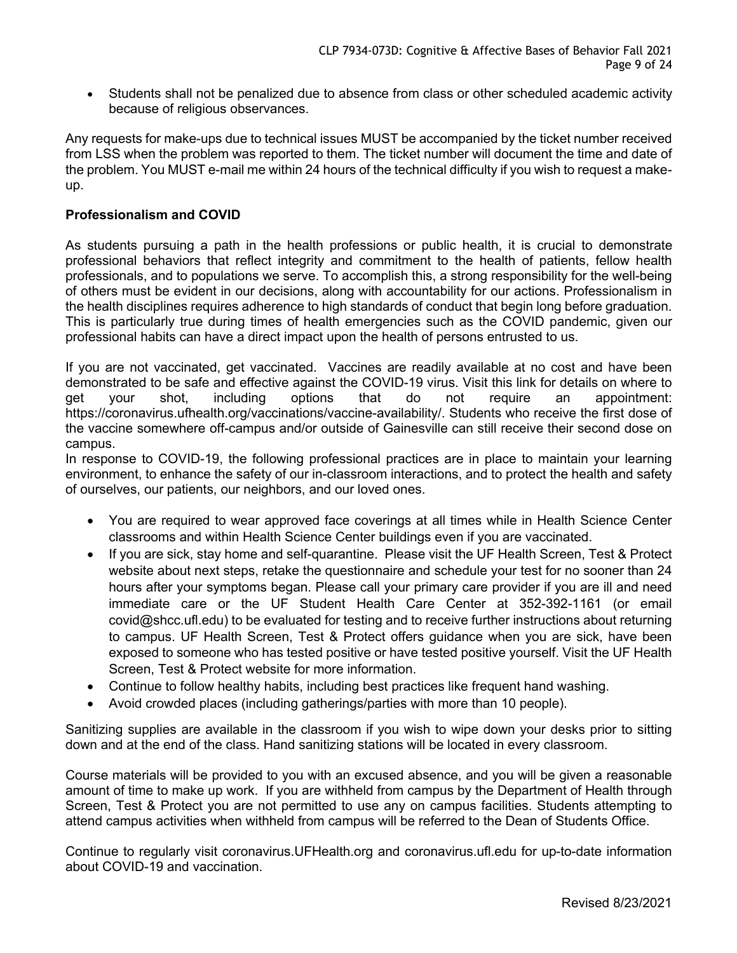• Students shall not be penalized due to absence from class or other scheduled academic activity because of religious observances.

Any requests for make-ups due to technical issues MUST be accompanied by the ticket number received from LSS when the problem was reported to them. The ticket number will document the time and date of the problem. You MUST e-mail me within 24 hours of the technical difficulty if you wish to request a makeup.

# **Professionalism and COVID**

As students pursuing a path in the health professions or public health, it is crucial to demonstrate professional behaviors that reflect integrity and commitment to the health of patients, fellow health professionals, and to populations we serve. To accomplish this, a strong responsibility for the well-being of others must be evident in our decisions, along with accountability for our actions. Professionalism in the health disciplines requires adherence to high standards of conduct that begin long before graduation. This is particularly true during times of health emergencies such as the COVID pandemic, given our professional habits can have a direct impact upon the health of persons entrusted to us.

If you are not vaccinated, get vaccinated. Vaccines are readily available at no cost and have been demonstrated to be safe and effective against the COVID-19 virus. Visit this link for details on where to get your shot, including options that do not require an appointment: https://coronavirus.ufhealth.org/vaccinations/vaccine-availability/. Students who receive the first dose of the vaccine somewhere off-campus and/or outside of Gainesville can still receive their second dose on campus.

In response to COVID-19, the following professional practices are in place to maintain your learning environment, to enhance the safety of our in-classroom interactions, and to protect the health and safety of ourselves, our patients, our neighbors, and our loved ones.

- You are required to wear approved face coverings at all times while in Health Science Center classrooms and within Health Science Center buildings even if you are vaccinated.
- If you are sick, stay home and self-quarantine. Please visit the UF Health Screen, Test & Protect website about next steps, retake the questionnaire and schedule your test for no sooner than 24 hours after your symptoms began. Please call your primary care provider if you are ill and need immediate care or the UF Student Health Care Center at 352-392-1161 (or email covid@shcc.ufl.edu) to be evaluated for testing and to receive further instructions about returning to campus. UF Health Screen, Test & Protect offers guidance when you are sick, have been exposed to someone who has tested positive or have tested positive yourself. Visit the UF Health Screen, Test & Protect website for more information.
- Continue to follow healthy habits, including best practices like frequent hand washing.
- Avoid crowded places (including gatherings/parties with more than 10 people).

Sanitizing supplies are available in the classroom if you wish to wipe down your desks prior to sitting down and at the end of the class. Hand sanitizing stations will be located in every classroom.

Course materials will be provided to you with an excused absence, and you will be given a reasonable amount of time to make up work. If you are withheld from campus by the Department of Health through Screen, Test & Protect you are not permitted to use any on campus facilities. Students attempting to attend campus activities when withheld from campus will be referred to the Dean of Students Office.

Continue to regularly visit coronavirus.UFHealth.org and coronavirus.ufl.edu for up-to-date information about COVID-19 and vaccination.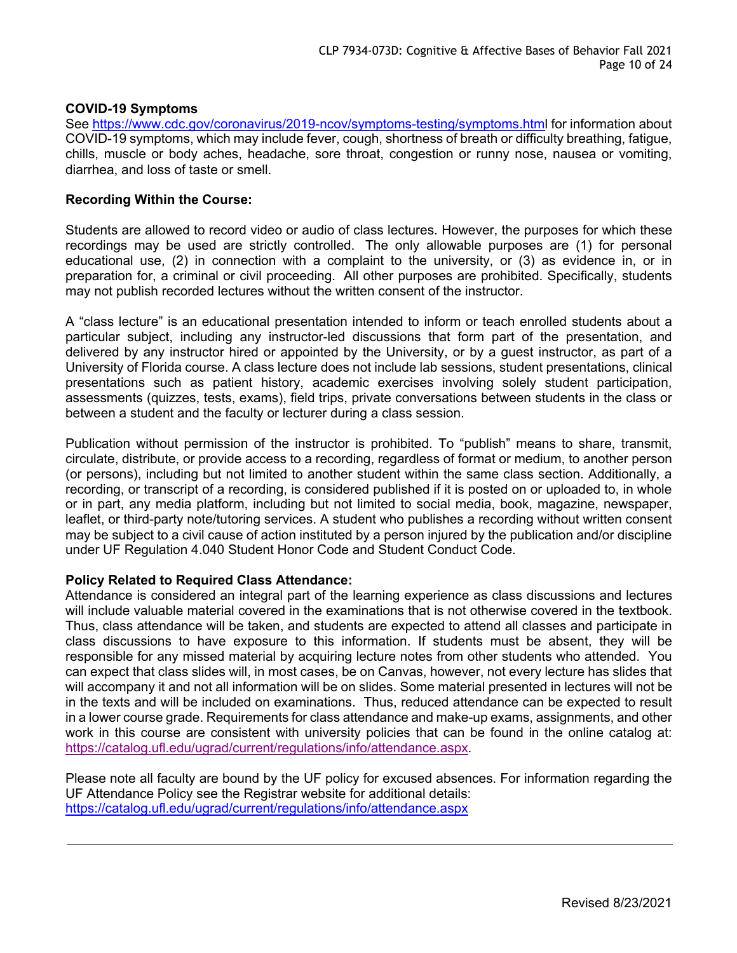# **COVID-19 Symptoms**

See https://www.cdc.gov/coronavirus/2019-ncov/symptoms-testing/symptoms.html for information about COVID-19 symptoms, which may include fever, cough, shortness of breath or difficulty breathing, fatigue, chills, muscle or body aches, headache, sore throat, congestion or runny nose, nausea or vomiting, diarrhea, and loss of taste or smell.

#### **Recording Within the Course:**

Students are allowed to record video or audio of class lectures. However, the purposes for which these recordings may be used are strictly controlled. The only allowable purposes are (1) for personal educational use, (2) in connection with a complaint to the university, or (3) as evidence in, or in preparation for, a criminal or civil proceeding. All other purposes are prohibited. Specifically, students may not publish recorded lectures without the written consent of the instructor.

A "class lecture" is an educational presentation intended to inform or teach enrolled students about a particular subject, including any instructor-led discussions that form part of the presentation, and delivered by any instructor hired or appointed by the University, or by a guest instructor, as part of a University of Florida course. A class lecture does not include lab sessions, student presentations, clinical presentations such as patient history, academic exercises involving solely student participation, assessments (quizzes, tests, exams), field trips, private conversations between students in the class or between a student and the faculty or lecturer during a class session.

Publication without permission of the instructor is prohibited. To "publish" means to share, transmit, circulate, distribute, or provide access to a recording, regardless of format or medium, to another person (or persons), including but not limited to another student within the same class section. Additionally, a recording, or transcript of a recording, is considered published if it is posted on or uploaded to, in whole or in part, any media platform, including but not limited to social media, book, magazine, newspaper, leaflet, or third-party note/tutoring services. A student who publishes a recording without written consent may be subject to a civil cause of action instituted by a person injured by the publication and/or discipline under UF Regulation 4.040 Student Honor Code and Student Conduct Code.

#### **Policy Related to Required Class Attendance:**

Attendance is considered an integral part of the learning experience as class discussions and lectures will include valuable material covered in the examinations that is not otherwise covered in the textbook. Thus, class attendance will be taken, and students are expected to attend all classes and participate in class discussions to have exposure to this information. If students must be absent, they will be responsible for any missed material by acquiring lecture notes from other students who attended. You can expect that class slides will, in most cases, be on Canvas, however, not every lecture has slides that will accompany it and not all information will be on slides. Some material presented in lectures will not be in the texts and will be included on examinations. Thus, reduced attendance can be expected to result in a lower course grade. Requirements for class attendance and make-up exams, assignments, and other work in this course are consistent with university policies that can be found in the online catalog at: https://catalog.ufl.edu/ugrad/current/regulations/info/attendance.aspx.

Please note all faculty are bound by the UF policy for excused absences. For information regarding the UF Attendance Policy see the Registrar website for additional details: https://catalog.ufl.edu/ugrad/current/regulations/info/attendance.aspx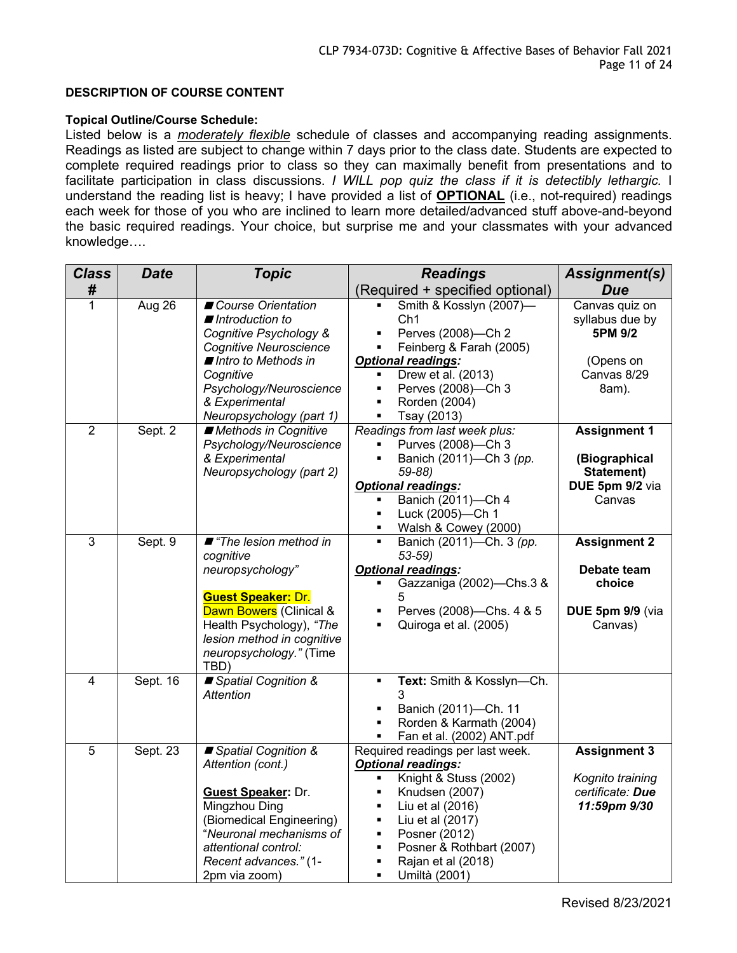#### **DESCRIPTION OF COURSE CONTENT**

#### **Topical Outline/Course Schedule:**

Listed below is a *moderately flexible* schedule of classes and accompanying reading assignments. Readings as listed are subject to change within 7 days prior to the class date. Students are expected to complete required readings prior to class so they can maximally benefit from presentations and to facilitate participation in class discussions. *I WILL pop quiz the class if it is detectibly lethargic.* I understand the reading list is heavy; I have provided a list of **OPTIONAL** (i.e., not-required) readings each week for those of you who are inclined to learn more detailed/advanced stuff above-and-beyond the basic required readings. Your choice, but surprise me and your classmates with your advanced knowledge….

| <b>Class</b>            | <b>Date</b> | <b>Topic</b>                                                                                                                                                                                                      | <b>Readings</b>                                                                                                                                                                                                                                                                                                                                                         | Assignment(s)                                                                     |
|-------------------------|-------------|-------------------------------------------------------------------------------------------------------------------------------------------------------------------------------------------------------------------|-------------------------------------------------------------------------------------------------------------------------------------------------------------------------------------------------------------------------------------------------------------------------------------------------------------------------------------------------------------------------|-----------------------------------------------------------------------------------|
| #                       |             |                                                                                                                                                                                                                   | (Required + specified optional)                                                                                                                                                                                                                                                                                                                                         | <b>Due</b>                                                                        |
| 1                       | Aug 26      | Course Orientation<br>Introduction to<br>Cognitive Psychology &<br><b>Cognitive Neuroscience</b><br>■ Intro to Methods in<br>Cognitive<br>Psychology/Neuroscience<br>& Experimental<br>Neuropsychology (part 1)   | Smith & Kosslyn (2007)-<br>Ch <sub>1</sub><br>Perves (2008)-Ch 2<br>٠<br>Feinberg & Farah (2005)<br>$\blacksquare$<br><b>Optional readings:</b><br>Drew et al. (2013)<br>$\blacksquare$<br>Perves (2008)-Ch 3<br>$\blacksquare$<br>Rorden (2004)<br>$\blacksquare$<br>Tsay (2013)                                                                                       | Canvas quiz on<br>syllabus due by<br>5PM 9/2<br>(Opens on<br>Canvas 8/29<br>8am). |
| $\overline{2}$          | Sept. 2     | Methods in Cognitive<br>Psychology/Neuroscience<br>& Experimental<br>Neuropsychology (part 2)                                                                                                                     | Readings from last week plus:<br>Purves (2008)-Ch 3<br>$\blacksquare$<br>Banich (2011)-Ch 3 (pp.<br>$\blacksquare$<br>$59 - 88$<br><b>Optional readings:</b><br>Banich (2011)-Ch 4<br>Ξ<br>Luck (2005)-Ch 1<br>٠<br>Walsh & Cowey (2000)<br>$\blacksquare$                                                                                                              | <b>Assignment 1</b><br>(Biographical<br>Statement)<br>DUE 5pm 9/2 via<br>Canvas   |
| $\overline{3}$          | Sept. 9     | ■ "The lesion method in<br>cognitive<br>neuropsychology"<br><b>Guest Speaker: Dr.</b><br>Dawn Bowers (Clinical &<br>Health Psychology), "The<br>lesion method in cognitive<br>neuropsychology." (Time<br>TBD)     | Banich (2011)-Ch. 3 (pp.<br>$\blacksquare$<br>$53-59$<br><b>Optional readings:</b><br>Gazzaniga (2002)-Chs.3 &<br>5<br>Perves (2008)-Chs. 4 & 5<br>$\blacksquare$<br>Quiroga et al. (2005)<br>$\blacksquare$                                                                                                                                                            | <b>Assignment 2</b><br>Debate team<br>choice<br>DUE 5pm 9/9 (via<br>Canvas)       |
| $\overline{\mathbf{4}}$ | Sept. 16    | ■ Spatial Cognition &<br><b>Attention</b>                                                                                                                                                                         | Text: Smith & Kosslyn-Ch.<br>$\blacksquare$<br>3<br>Banich (2011)-Ch. 11<br>٠<br>Rorden & Karmath (2004)<br>$\blacksquare$<br>Fan et al. (2002) ANT.pdf<br>٠                                                                                                                                                                                                            |                                                                                   |
| 5                       | Sept. 23    | ■ Spatial Cognition &<br>Attention (cont.)<br><b>Guest Speaker: Dr.</b><br>Mingzhou Ding<br>(Biomedical Engineering)<br>"Neuronal mechanisms of<br>attentional control:<br>Recent advances." (1-<br>2pm via zoom) | Required readings per last week.<br><b>Optional readings:</b><br>Knight & Stuss (2002)<br>$\blacksquare$<br>Knudsen (2007)<br>$\blacksquare$<br>Liu et al (2016)<br>$\blacksquare$<br>Liu et al (2017)<br>$\blacksquare$<br>Posner (2012)<br>٠<br>Posner & Rothbart (2007)<br>$\blacksquare$<br>Rajan et al (2018)<br>$\blacksquare$<br>$\blacksquare$<br>Umiltà (2001) | <b>Assignment 3</b><br>Kognito training<br>certificate: Due<br>11:59pm 9/30       |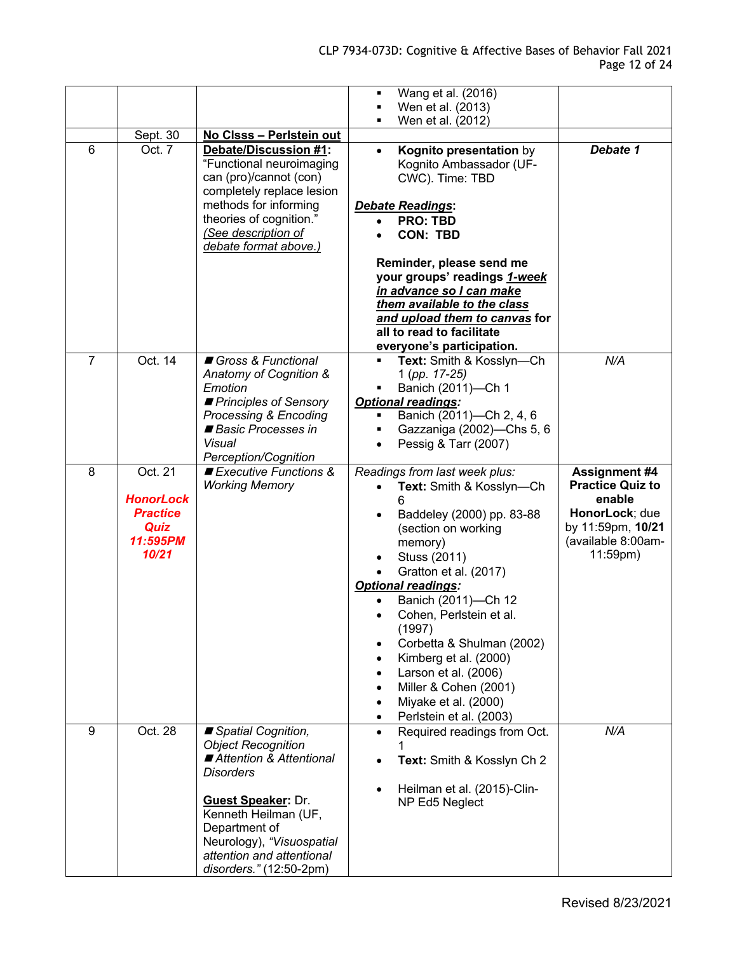|   |                  |                                                      | Wang et al. (2016)<br>٠                  |                         |
|---|------------------|------------------------------------------------------|------------------------------------------|-------------------------|
|   |                  |                                                      | Wen et al. (2013)                        |                         |
|   |                  |                                                      | Wen et al. (2012)                        |                         |
|   | Sept. 30         | No Clsss - Perlstein out                             |                                          |                         |
| 6 | Oct. 7           | Debate/Discussion #1:                                | Kognito presentation by<br>$\bullet$     | Debate 1                |
|   |                  | "Functional neuroimaging                             | Kognito Ambassador (UF-                  |                         |
|   |                  | can (pro)/cannot (con)                               | CWC). Time: TBD                          |                         |
|   |                  | completely replace lesion                            |                                          |                         |
|   |                  | methods for informing                                | <b>Debate Readings:</b>                  |                         |
|   |                  | theories of cognition."                              | <b>PRO: TBD</b><br>$\bullet$             |                         |
|   |                  | (See description of                                  | <b>CON: TBD</b>                          |                         |
|   |                  | debate format above.)                                |                                          |                         |
|   |                  |                                                      | Reminder, please send me                 |                         |
|   |                  |                                                      | your groups' readings 1-week             |                         |
|   |                  |                                                      | in advance so I can make                 |                         |
|   |                  |                                                      | them available to the class              |                         |
|   |                  |                                                      | and upload them to canvas for            |                         |
|   |                  |                                                      | all to read to facilitate                |                         |
|   |                  |                                                      | everyone's participation.                |                         |
| 7 | Oct. 14          | Gross & Functional                                   | Text: Smith & Kosslyn-Ch<br>Ξ            | N/A                     |
|   |                  | Anatomy of Cognition &                               | 1 (pp. 17-25)                            |                         |
|   |                  | Emotion                                              | Banich (2011)-Ch 1                       |                         |
|   |                  | Principles of Sensory                                | <b>Optional readings:</b>                |                         |
|   |                  | Processing & Encoding                                | Banich (2011)-Ch 2, 4, 6                 |                         |
|   |                  | Basic Processes in                                   | Gazzaniga (2002)-Chs 5, 6                |                         |
|   |                  | Visual                                               | Pessig & Tarr (2007)                     |                         |
|   |                  | Perception/Cognition                                 |                                          |                         |
| 8 | Oct. 21          | Executive Functions &                                | Readings from last week plus:            | <b>Assignment #4</b>    |
|   |                  | <b>Working Memory</b>                                | Text: Smith & Kosslyn-Ch                 | <b>Practice Quiz to</b> |
|   | <b>HonorLock</b> |                                                      |                                          | enable                  |
|   | <b>Practice</b>  |                                                      | Baddeley (2000) pp. 83-88<br>$\bullet$   | HonorLock; due          |
|   | Quiz             |                                                      | (section on working                      | by 11:59pm, 10/21       |
|   | 11:595PM         |                                                      | memory)                                  | (available 8:00am-      |
|   | 10/21            |                                                      | Stuss (2011)                             | $11:59$ pm)             |
|   |                  |                                                      | Gratton et al. (2017)                    |                         |
|   |                  |                                                      | <b>Optional readings:</b>                |                         |
|   |                  |                                                      | Banich (2011)-Ch 12                      |                         |
|   |                  |                                                      | Cohen, Perlstein et al.<br>$\bullet$     |                         |
|   |                  |                                                      | (1997)                                   |                         |
|   |                  |                                                      | Corbetta & Shulman (2002)                |                         |
|   |                  |                                                      | Kimberg et al. (2000)                    |                         |
|   |                  |                                                      |                                          |                         |
|   |                  |                                                      | Larson et al. (2006)                     |                         |
|   |                  |                                                      | Miller & Cohen (2001)                    |                         |
|   |                  |                                                      | Miyake et al. (2000)                     |                         |
|   |                  |                                                      | Perlstein et al. (2003)<br>٠             |                         |
| 9 | Oct. 28          | Spatial Cognition,                                   | Required readings from Oct.<br>$\bullet$ | N/A                     |
|   |                  | <b>Object Recognition</b>                            |                                          |                         |
|   |                  | ■ Attention & Attentional                            | Text: Smith & Kosslyn Ch 2               |                         |
|   |                  | <b>Disorders</b>                                     |                                          |                         |
|   |                  |                                                      | Heilman et al. (2015)-Clin-<br>$\bullet$ |                         |
|   |                  | <b>Guest Speaker: Dr.</b>                            | NP Ed5 Neglect                           |                         |
|   |                  | Kenneth Heilman (UF,                                 |                                          |                         |
|   |                  |                                                      |                                          |                         |
|   |                  | Department of                                        |                                          |                         |
|   |                  | Neurology), "Visuospatial                            |                                          |                         |
|   |                  | attention and attentional<br>disorders." (12:50-2pm) |                                          |                         |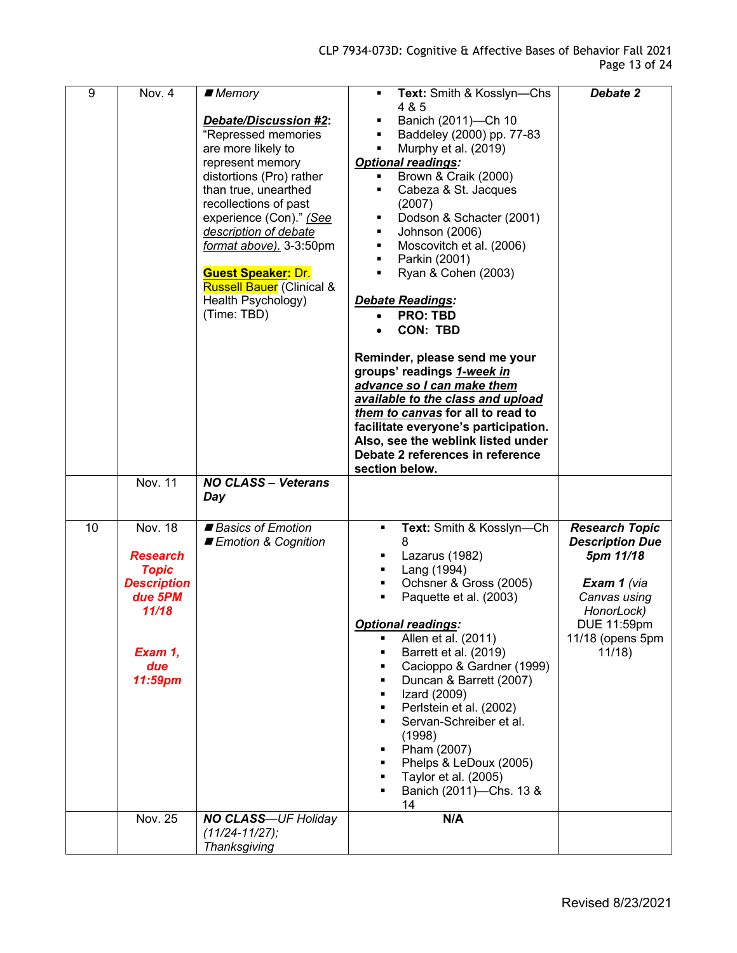| 9  | Nov. 4                                                                                                                      | ■ Memory                                                                                                                                                                                                                                                                                                                                                                                      | Text: Smith & Kosslyn-Chs<br>$\blacksquare$                                                                                                                                                                                                                                                                                                                                                                                                                                                                                                                                                                                                                                    | Debate 2                                                                                                                                              |
|----|-----------------------------------------------------------------------------------------------------------------------------|-----------------------------------------------------------------------------------------------------------------------------------------------------------------------------------------------------------------------------------------------------------------------------------------------------------------------------------------------------------------------------------------------|--------------------------------------------------------------------------------------------------------------------------------------------------------------------------------------------------------------------------------------------------------------------------------------------------------------------------------------------------------------------------------------------------------------------------------------------------------------------------------------------------------------------------------------------------------------------------------------------------------------------------------------------------------------------------------|-------------------------------------------------------------------------------------------------------------------------------------------------------|
|    | <b>Nov. 11</b>                                                                                                              | <b>Debate/Discussion #2:</b><br>"Repressed memories<br>are more likely to<br>represent memory<br>distortions (Pro) rather<br>than true, unearthed<br>recollections of past<br>experience (Con)." (See<br>description of debate<br>format above). 3-3:50pm<br><b>Guest Speaker: Dr.</b><br><b>Russell Bauer</b> (Clinical &<br>Health Psychology)<br>(Time: TBD)<br><b>NO CLASS - Veterans</b> | 4 & 5<br>Banich (2011)-Ch 10<br>Baddeley (2000) pp. 77-83<br>Murphy et al. (2019)<br><b>Optional readings:</b><br>Brown & Craik (2000)<br>٠<br>Cabeza & St. Jacques<br>٠<br>(2007)<br>Dodson & Schacter (2001)<br>Johnson (2006)<br>Moscovitch et al. (2006)<br>Parkin (2001)<br>٠<br>Ryan & Cohen (2003)<br>Debate Readings:<br><b>PRO: TBD</b><br><b>CON: TBD</b><br>Reminder, please send me your<br>groups' readings 1-week in<br>advance so I can make them<br>available to the class and upload<br>them to canvas for all to read to<br>facilitate everyone's participation.<br>Also, see the weblink listed under<br>Debate 2 references in reference<br>section below. |                                                                                                                                                       |
|    |                                                                                                                             | Day                                                                                                                                                                                                                                                                                                                                                                                           |                                                                                                                                                                                                                                                                                                                                                                                                                                                                                                                                                                                                                                                                                |                                                                                                                                                       |
| 10 | <b>Nov. 18</b><br><b>Research</b><br><b>Topic</b><br><b>Description</b><br>due 5PM<br>11/18<br>Exam 1,<br>due<br>$11:59$ pm | Basics of Emotion<br>Emotion & Cognition                                                                                                                                                                                                                                                                                                                                                      | Text: Smith & Kosslyn-Ch<br>٠<br>8<br>Lazarus (1982)<br>٠<br>Lang (1994)<br>٠<br>Ochsner & Gross (2005)<br>٠<br>Paquette et al. (2003)<br><b>Optional readings:</b><br>Allen et al. (2011)<br>п<br>Barrett et al. (2019)<br>٠<br>Cacioppo & Gardner (1999)<br>٠<br>Duncan & Barrett (2007)<br>٠<br>Izard (2009)<br>٠<br>Perlstein et al. (2002)<br>٠<br>Servan-Schreiber et al.<br>٠<br>(1998)<br>Pham (2007)<br>٠<br>Phelps & LeDoux (2005)<br>٠<br>Taylor et al. (2005)<br>٠<br>Banich (2011)-Chs. 13 &<br>14                                                                                                                                                                | <b>Research Topic</b><br><b>Description Due</b><br>5pm 11/18<br>Exam 1 (via<br>Canvas using<br>HonorLock)<br>DUE 11:59pm<br>11/18 (opens 5pm<br>11/18 |
|    | Nov. 25                                                                                                                     | <b>NO CLASS-UF Holiday</b><br>$(11/24 - 11/27);$<br>Thanksgiving                                                                                                                                                                                                                                                                                                                              | N/A                                                                                                                                                                                                                                                                                                                                                                                                                                                                                                                                                                                                                                                                            |                                                                                                                                                       |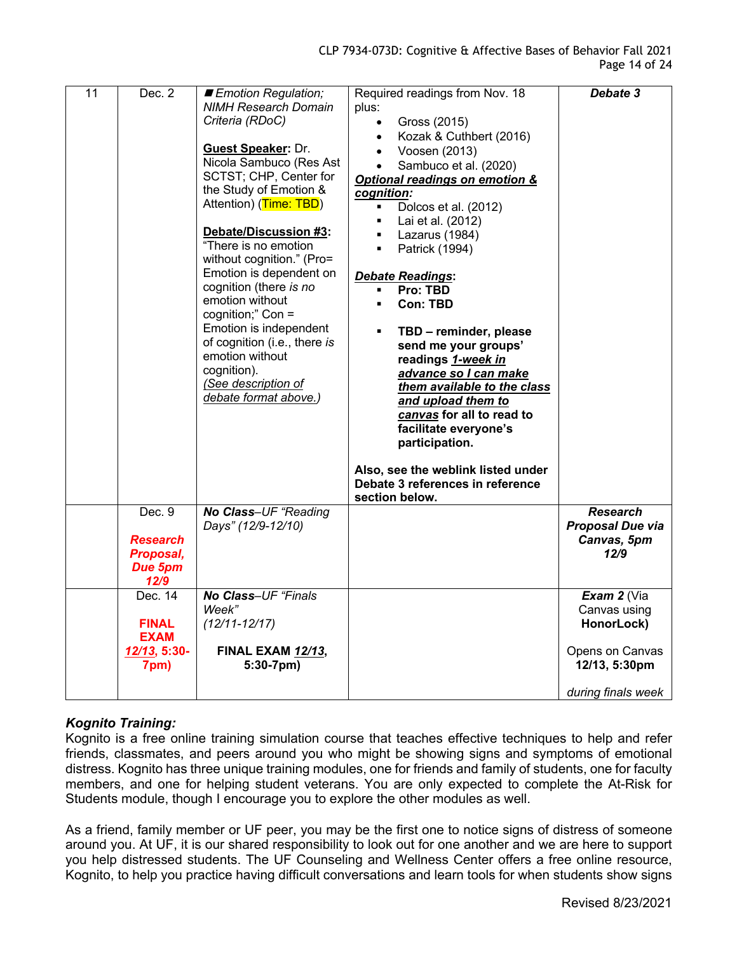| $\overline{11}$ | Dec. 2                      | Emotion Regulation;<br><b>NIMH Research Domain</b><br>Criteria (RDoC)<br><b>Guest Speaker: Dr.</b><br>Nicola Sambuco (Res Ast<br>SCTST; CHP, Center for<br>the Study of Emotion &<br>Attention) (Time: TBD)<br>Debate/Discussion #3:<br>"There is no emotion<br>without cognition." (Pro=<br>Emotion is dependent on<br>cognition (there is no<br>emotion without<br>cognition;" Con =<br>Emotion is independent<br>of cognition (i.e., there is<br>emotion without<br>cognition).<br>(See description of<br>debate format above.) | Required readings from Nov. 18<br>plus:<br>Gross (2015)<br>$\bullet$<br>Kozak & Cuthbert (2016)<br>Voosen (2013)<br>$\bullet$<br>Sambuco et al. (2020)<br>Optional readings on emotion &<br>cognition:<br>Dolcos et al. (2012)<br>$\blacksquare$<br>Lai et al. (2012)<br>$\blacksquare$<br>Lazarus (1984)<br>$\blacksquare$<br>Patrick (1994)<br>$\blacksquare$<br>Debate Readings:<br>Pro: TBD<br>$\blacksquare$<br><b>Con: TBD</b><br>$\blacksquare$<br>TBD - reminder, please<br>$\blacksquare$<br>send me your groups'<br>readings 1-week in<br>advance so I can make<br>them available to the class<br>and upload them to<br>canvas for all to read to<br>facilitate everyone's<br>participation.<br>Also, see the weblink listed under<br>Debate 3 references in reference<br>section below. | Debate 3           |
|-----------------|-----------------------------|------------------------------------------------------------------------------------------------------------------------------------------------------------------------------------------------------------------------------------------------------------------------------------------------------------------------------------------------------------------------------------------------------------------------------------------------------------------------------------------------------------------------------------|----------------------------------------------------------------------------------------------------------------------------------------------------------------------------------------------------------------------------------------------------------------------------------------------------------------------------------------------------------------------------------------------------------------------------------------------------------------------------------------------------------------------------------------------------------------------------------------------------------------------------------------------------------------------------------------------------------------------------------------------------------------------------------------------------|--------------------|
|                 | Dec. 9                      | No Class-UF "Reading                                                                                                                                                                                                                                                                                                                                                                                                                                                                                                               |                                                                                                                                                                                                                                                                                                                                                                                                                                                                                                                                                                                                                                                                                                                                                                                                    | <b>Research</b>    |
|                 |                             | Days" (12/9-12/10)                                                                                                                                                                                                                                                                                                                                                                                                                                                                                                                 |                                                                                                                                                                                                                                                                                                                                                                                                                                                                                                                                                                                                                                                                                                                                                                                                    | Proposal Due via   |
|                 | <b>Research</b>             |                                                                                                                                                                                                                                                                                                                                                                                                                                                                                                                                    |                                                                                                                                                                                                                                                                                                                                                                                                                                                                                                                                                                                                                                                                                                                                                                                                    | Canvas, 5pm        |
|                 | Proposal,<br>Due 5pm        |                                                                                                                                                                                                                                                                                                                                                                                                                                                                                                                                    |                                                                                                                                                                                                                                                                                                                                                                                                                                                                                                                                                                                                                                                                                                                                                                                                    | 12/9               |
|                 | 12/9                        |                                                                                                                                                                                                                                                                                                                                                                                                                                                                                                                                    |                                                                                                                                                                                                                                                                                                                                                                                                                                                                                                                                                                                                                                                                                                                                                                                                    |                    |
|                 | Dec. 14                     | No Class-UF "Finals"                                                                                                                                                                                                                                                                                                                                                                                                                                                                                                               |                                                                                                                                                                                                                                                                                                                                                                                                                                                                                                                                                                                                                                                                                                                                                                                                    | Exam $2$ (Via      |
|                 |                             | Week"                                                                                                                                                                                                                                                                                                                                                                                                                                                                                                                              |                                                                                                                                                                                                                                                                                                                                                                                                                                                                                                                                                                                                                                                                                                                                                                                                    | Canvas using       |
|                 | <b>FINAL</b>                | $(12/11 - 12/17)$                                                                                                                                                                                                                                                                                                                                                                                                                                                                                                                  |                                                                                                                                                                                                                                                                                                                                                                                                                                                                                                                                                                                                                                                                                                                                                                                                    | HonorLock)         |
|                 | <b>EXAM</b><br>12/13, 5:30- | <b>FINAL EXAM 12/13,</b>                                                                                                                                                                                                                                                                                                                                                                                                                                                                                                           |                                                                                                                                                                                                                                                                                                                                                                                                                                                                                                                                                                                                                                                                                                                                                                                                    | Opens on Canvas    |
|                 | 7pm)                        | $5:30-7$ pm)                                                                                                                                                                                                                                                                                                                                                                                                                                                                                                                       |                                                                                                                                                                                                                                                                                                                                                                                                                                                                                                                                                                                                                                                                                                                                                                                                    | 12/13, 5:30pm      |
|                 |                             |                                                                                                                                                                                                                                                                                                                                                                                                                                                                                                                                    |                                                                                                                                                                                                                                                                                                                                                                                                                                                                                                                                                                                                                                                                                                                                                                                                    | during finals week |

# *Kognito Training:*

Kognito is a free online training simulation course that teaches effective techniques to help and refer friends, classmates, and peers around you who might be showing signs and symptoms of emotional distress. Kognito has three unique training modules, one for friends and family of students, one for faculty members, and one for helping student veterans. You are only expected to complete the At-Risk for Students module, though I encourage you to explore the other modules as well.

As a friend, family member or UF peer, you may be the first one to notice signs of distress of someone around you. At UF, it is our shared responsibility to look out for one another and we are here to support you help distressed students. The UF Counseling and Wellness Center offers a free online resource, Kognito, to help you practice having difficult conversations and learn tools for when students show signs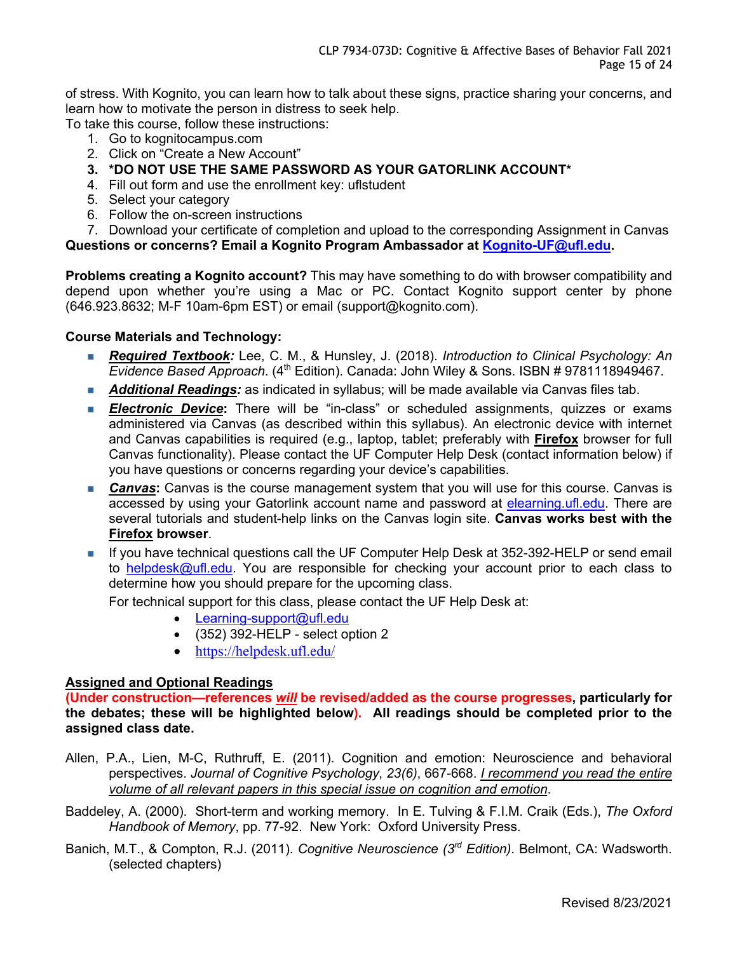of stress. With Kognito, you can learn how to talk about these signs, practice sharing your concerns, and learn how to motivate the person in distress to seek help.

To take this course, follow these instructions:

- 1. Go to kognitocampus.com
- 2. Click on "Create a New Account"
- **3. \*DO NOT USE THE SAME PASSWORD AS YOUR GATORLINK ACCOUNT\***
- 4. Fill out form and use the enrollment key: uflstudent
- 5. Select your category
- 6. Follow the on-screen instructions

7. Download your certificate of completion and upload to the corresponding Assignment in Canvas

**Questions or concerns? Email a Kognito Program Ambassador at Kognito-UF@ufl.edu.**

**Problems creating a Kognito account?** This may have something to do with browser compatibility and depend upon whether you're using a Mac or PC. Contact Kognito support center by phone (646.923.8632; M-F 10am-6pm EST) or email (support@kognito.com).

# **Course Materials and Technology:**

- *Required Textbook:* Lee, C. M., & Hunsley, J. (2018). *Introduction to Clinical Psychology: An Evidence Based Approach*. (4th Edition). Canada: John Wiley & Sons. ISBN # 9781118949467.
- **Additional Readings:** as indicated in syllabus; will be made available via Canvas files tab.
- **Electronic Device:** There will be "in-class" or scheduled assignments, quizzes or exams administered via Canvas (as described within this syllabus). An electronic device with internet and Canvas capabilities is required (e.g., laptop, tablet; preferably with **Firefox** browser for full Canvas functionality). Please contact the UF Computer Help Desk (contact information below) if you have questions or concerns regarding your device's capabilities.
- **Canvas:** Canvas is the course management system that you will use for this course. Canvas is accessed by using your Gatorlink account name and password at elearning.ufl.edu. There are several tutorials and student-help links on the Canvas login site. **Canvas works best with the Firefox browser**.
- n If you have technical questions call the UF Computer Help Desk at 352-392-HELP or send email to helpdesk@ufl.edu. You are responsible for checking your account prior to each class to determine how you should prepare for the upcoming class.

For technical support for this class, please contact the UF Help Desk at:

- Learning-support@ufl.edu
- $\bullet$  (352) 392-HELP select option 2
- https://helpdesk.ufl.edu/

#### **Assigned and Optional Readings**

**(Under construction—references** *will* **be revised/added as the course progresses, particularly for the debates; these will be highlighted below). All readings should be completed prior to the assigned class date.**

- Allen, P.A., Lien, M-C, Ruthruff, E. (2011). Cognition and emotion: Neuroscience and behavioral perspectives. *Journal of Cognitive Psychology*, *23(6)*, 667-668. *I recommend you read the entire volume of all relevant papers in this special issue on cognition and emotion*.
- Baddeley, A. (2000). Short-term and working memory. In E. Tulving & F.I.M. Craik (Eds.), *The Oxford Handbook of Memory*, pp. 77-92. New York: Oxford University Press.
- Banich, M.T., & Compton, R.J. (2011). *Cognitive Neuroscience (3rd Edition)*. Belmont, CA: Wadsworth. (selected chapters)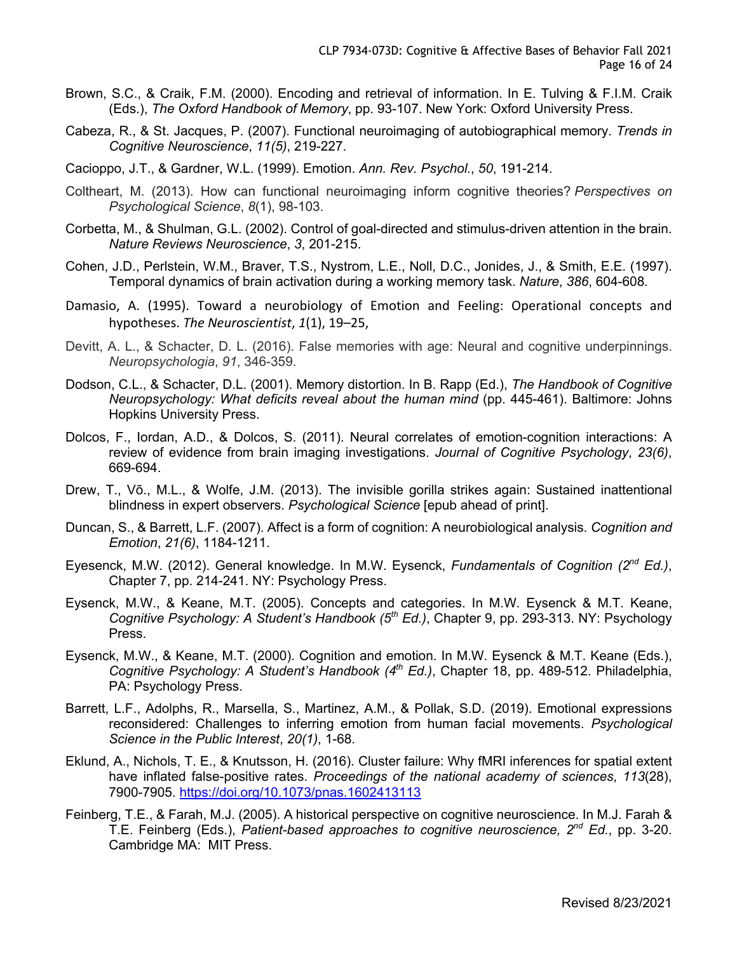- Brown, S.C., & Craik, F.M. (2000). Encoding and retrieval of information. In E. Tulving & F.I.M. Craik (Eds.), *The Oxford Handbook of Memory*, pp. 93-107. New York: Oxford University Press.
- Cabeza, R., & St. Jacques, P. (2007). Functional neuroimaging of autobiographical memory. *Trends in Cognitive Neuroscience*, *11(5)*, 219-227.
- Cacioppo, J.T., & Gardner, W.L. (1999). Emotion. *Ann. Rev. Psychol.*, *50*, 191-214.
- Coltheart, M. (2013). How can functional neuroimaging inform cognitive theories? *Perspectives on Psychological Science*, *8*(1), 98-103.
- Corbetta, M., & Shulman, G.L. (2002). Control of goal-directed and stimulus-driven attention in the brain. *Nature Reviews Neuroscience*, *3*, 201-215.
- Cohen, J.D., Perlstein, W.M., Braver, T.S., Nystrom, L.E., Noll, D.C., Jonides, J., & Smith, E.E. (1997). Temporal dynamics of brain activation during a working memory task. *Nature*, *386*, 604-608*.*
- Damasio, A. (1995). Toward a neurobiology of Emotion and Feeling: Operational concepts and hypotheses. *The Neuroscientist*, *1*(1), 19–25,
- Devitt, A. L., & Schacter, D. L. (2016). False memories with age: Neural and cognitive underpinnings. *Neuropsychologia*, *91*, 346-359.
- Dodson, C.L., & Schacter, D.L. (2001). Memory distortion. In B. Rapp (Ed.), *The Handbook of Cognitive Neuropsychology: What deficits reveal about the human mind* (pp. 445-461). Baltimore: Johns Hopkins University Press.
- Dolcos, F., Iordan, A.D., & Dolcos, S. (2011). Neural correlates of emotion-cognition interactions: A review of evidence from brain imaging investigations. *Journal of Cognitive Psychology*, *23(6)*, 669-694.
- Drew, T., Võ., M.L., & Wolfe, J.M. (2013). The invisible gorilla strikes again: Sustained inattentional blindness in expert observers. *Psychological Science* [epub ahead of print].
- Duncan, S., & Barrett, L.F. (2007). Affect is a form of cognition: A neurobiological analysis. *Cognition and Emotion*, *21(6)*, 1184-1211.
- Eyesenck, M.W. (2012). General knowledge. In M.W. Eysenck, *Fundamentals of Cognition (2nd Ed.)*, Chapter 7, pp. 214-241. NY: Psychology Press.
- Eysenck, M.W., & Keane, M.T. (2005). Concepts and categories. In M.W. Eysenck & M.T. Keane, *Cognitive Psychology: A Student's Handbook (5th Ed.)*, Chapter 9, pp. 293-313. NY: Psychology Press.
- Eysenck, M.W., & Keane, M.T. (2000). Cognition and emotion. In M.W. Eysenck & M.T. Keane (Eds.), *Cognitive Psychology: A Student's Handbook (4th Ed.)*, Chapter 18, pp. 489-512. Philadelphia, PA: Psychology Press.
- Barrett, L.F., Adolphs, R., Marsella, S., Martinez, A.M., & Pollak, S.D. (2019). Emotional expressions reconsidered: Challenges to inferring emotion from human facial movements. *Psychological Science in the Public Interest*, *20(1)*, 1-68.
- Eklund, A., Nichols, T. E., & Knutsson, H. (2016). Cluster failure: Why fMRI inferences for spatial extent have inflated false-positive rates. *Proceedings of the national academy of sciences*, *113*(28), 7900-7905. https://doi.org/10.1073/pnas.1602413113
- Feinberg, T.E., & Farah, M.J. (2005). A historical perspective on cognitive neuroscience. In M.J. Farah & T.E. Feinberg (Eds.), *Patient-based approaches to cognitive neuroscience, 2nd Ed.*, pp. 3-20. Cambridge MA: MIT Press.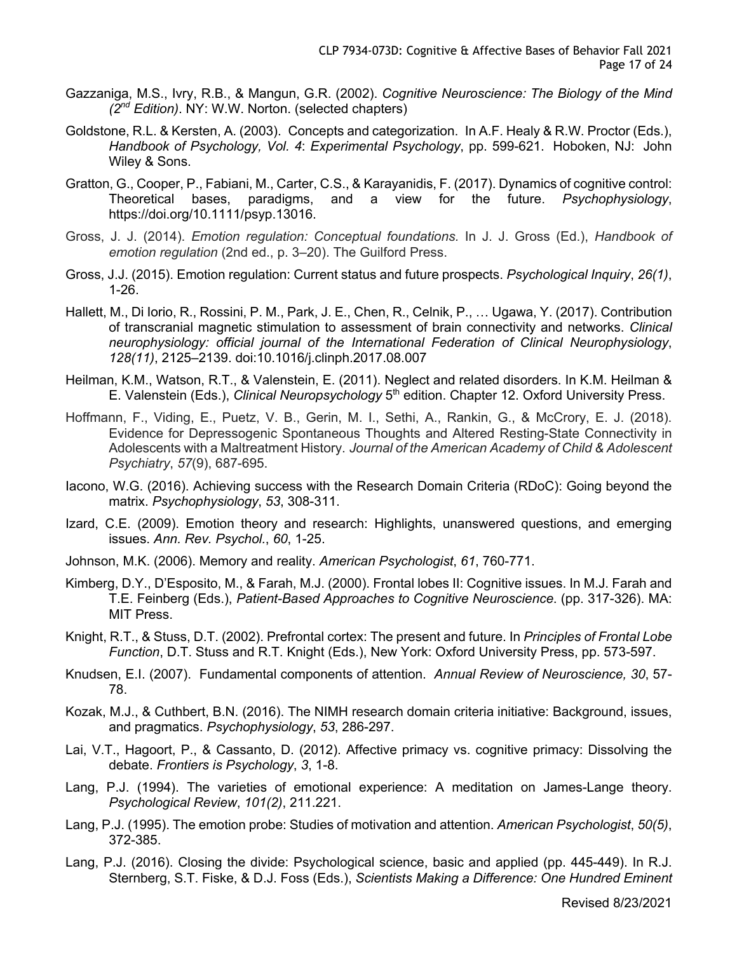- Gazzaniga, M.S., Ivry, R.B., & Mangun, G.R. (2002). *Cognitive Neuroscience: The Biology of the Mind (2nd Edition)*. NY: W.W. Norton. (selected chapters)
- Goldstone, R.L. & Kersten, A. (2003). Concepts and categorization. In A.F. Healy & R.W. Proctor (Eds.), *Handbook of Psychology, Vol. 4*: *Experimental Psychology*, pp. 599-621. Hoboken, NJ: John Wiley & Sons.
- Gratton, G., Cooper, P., Fabiani, M., Carter, C.S., & Karayanidis, F. (2017). Dynamics of cognitive control: Theoretical bases, paradigms, and a view for the future. *Psychophysiology*, https://doi.org/10.1111/psyp.13016.
- Gross, J. J. (2014). *Emotion regulation: Conceptual foundations.* In J. J. Gross (Ed.), *Handbook of emotion regulation* (2nd ed., p. 3–20). The Guilford Press.
- Gross, J.J. (2015). Emotion regulation: Current status and future prospects. *Psychological Inquiry*, *26(1)*, 1-26.
- Hallett, M., Di Iorio, R., Rossini, P. M., Park, J. E., Chen, R., Celnik, P., … Ugawa, Y. (2017). Contribution of transcranial magnetic stimulation to assessment of brain connectivity and networks. *Clinical neurophysiology: official journal of the International Federation of Clinical Neurophysiology*, *128(11)*, 2125–2139. doi:10.1016/j.clinph.2017.08.007
- Heilman, K.M., Watson, R.T., & Valenstein, E. (2011). Neglect and related disorders. In K.M. Heilman & E. Valenstein (Eds.), *Clinical Neuropsychology* 5<sup>th</sup> edition. Chapter 12. Oxford University Press.
- Hoffmann, F., Viding, E., Puetz, V. B., Gerin, M. I., Sethi, A., Rankin, G., & McCrory, E. J. (2018). Evidence for Depressogenic Spontaneous Thoughts and Altered Resting-State Connectivity in Adolescents with a Maltreatment History. *Journal of the American Academy of Child & Adolescent Psychiatry*, *57*(9), 687-695.
- Iacono, W.G. (2016). Achieving success with the Research Domain Criteria (RDoC): Going beyond the matrix. *Psychophysiology*, *53*, 308-311.
- Izard, C.E. (2009). Emotion theory and research: Highlights, unanswered questions, and emerging issues. *Ann. Rev. Psychol.*, *60*, 1-25.
- Johnson, M.K. (2006). Memory and reality. *American Psychologist*, *61*, 760-771.
- Kimberg, D.Y., D'Esposito, M., & Farah, M.J. (2000). Frontal lobes II: Cognitive issues. In M.J. Farah and T.E. Feinberg (Eds.), *Patient-Based Approaches to Cognitive Neuroscience*. (pp. 317-326). MA: MIT Press.
- Knight, R.T., & Stuss, D.T. (2002). Prefrontal cortex: The present and future. In *Principles of Frontal Lobe Function*, D.T. Stuss and R.T. Knight (Eds.), New York: Oxford University Press, pp. 573-597.
- Knudsen, E.I. (2007). Fundamental components of attention. *Annual Review of Neuroscience, 30*, 57- 78.
- Kozak, M.J., & Cuthbert, B.N. (2016). The NIMH research domain criteria initiative: Background, issues, and pragmatics. *Psychophysiology*, *53*, 286-297.
- Lai, V.T., Hagoort, P., & Cassanto, D. (2012). Affective primacy vs. cognitive primacy: Dissolving the debate. *Frontiers is Psychology*, *3*, 1-8.
- Lang, P.J. (1994). The varieties of emotional experience: A meditation on James-Lange theory. *Psychological Review*, *101(2)*, 211.221.
- Lang, P.J. (1995). The emotion probe: Studies of motivation and attention. *American Psychologist*, *50(5)*, 372-385.
- Lang, P.J. (2016). Closing the divide: Psychological science, basic and applied (pp. 445-449). In R.J. Sternberg, S.T. Fiske, & D.J. Foss (Eds.), *Scientists Making a Difference: One Hundred Eminent*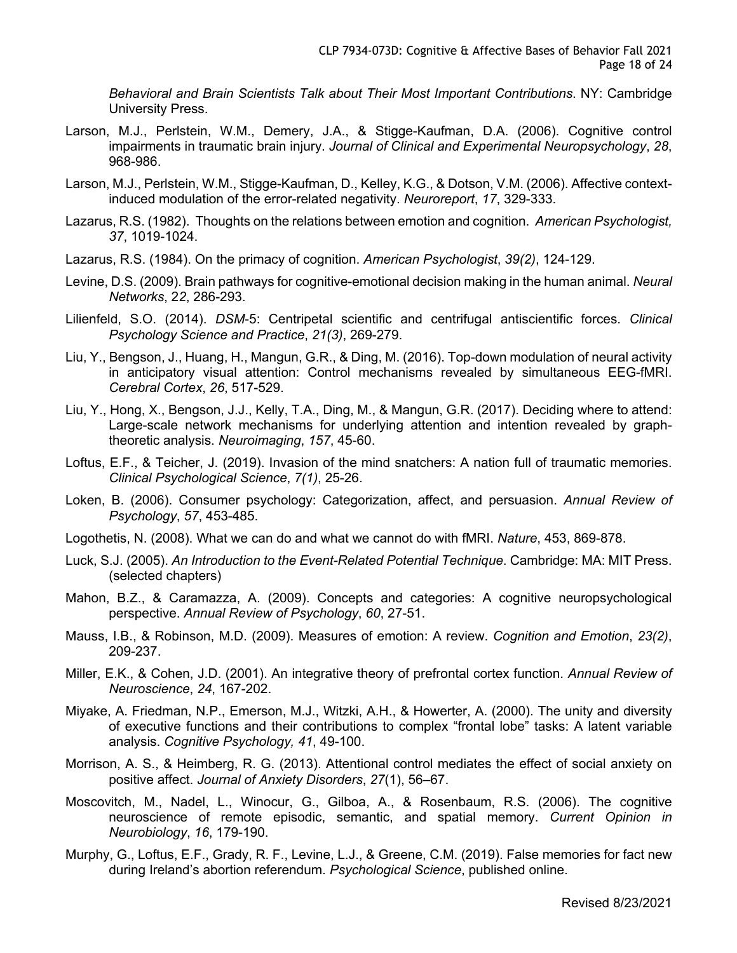*Behavioral and Brain Scientists Talk about Their Most Important Contributions*. NY: Cambridge University Press.

- Larson, M.J., Perlstein, W.M., Demery, J.A., & Stigge-Kaufman, D.A. (2006). Cognitive control impairments in traumatic brain injury. *Journal of Clinical and Experimental Neuropsychology*, *28*, 968-986.
- Larson, M.J., Perlstein, W.M., Stigge-Kaufman, D., Kelley, K.G., & Dotson, V.M. (2006). Affective contextinduced modulation of the error-related negativity. *Neuroreport*, *17*, 329-333.
- Lazarus, R.S. (1982). Thoughts on the relations between emotion and cognition. *American Psychologist, 37*, 1019-1024.
- Lazarus, R.S. (1984). On the primacy of cognition. *American Psychologist*, *39(2)*, 124-129.
- Levine, D.S. (2009). Brain pathways for cognitive-emotional decision making in the human animal. *Neural Networks*, 2*2*, 286-293.
- Lilienfeld, S.O. (2014). *DSM*-5: Centripetal scientific and centrifugal antiscientific forces. *Clinical Psychology Science and Practice*, *21(3)*, 269-279.
- Liu, Y., Bengson, J., Huang, H., Mangun, G.R., & Ding, M. (2016). Top-down modulation of neural activity in anticipatory visual attention: Control mechanisms revealed by simultaneous EEG-fMRI. *Cerebral Cortex*, *26*, 517-529.
- Liu, Y., Hong, X., Bengson, J.J., Kelly, T.A., Ding, M., & Mangun, G.R. (2017). Deciding where to attend: Large-scale network mechanisms for underlying attention and intention revealed by graphtheoretic analysis. *Neuroimaging*, *157*, 45-60.
- Loftus, E.F., & Teicher, J. (2019). Invasion of the mind snatchers: A nation full of traumatic memories. *Clinical Psychological Science*, *7(1)*, 25-26.
- Loken, B. (2006). Consumer psychology: Categorization, affect, and persuasion. *Annual Review of Psychology*, *57*, 453-485.
- Logothetis, N. (2008). What we can do and what we cannot do with fMRI. *Nature*, 453, 869-878.
- Luck, S.J. (2005). *An Introduction to the Event-Related Potential Technique*. Cambridge: MA: MIT Press. (selected chapters)
- Mahon, B.Z., & Caramazza, A. (2009). Concepts and categories: A cognitive neuropsychological perspective. *Annual Review of Psychology*, *60*, 27-51.
- Mauss, I.B., & Robinson, M.D. (2009). Measures of emotion: A review. *Cognition and Emotion*, *23(2)*, 209-237.
- Miller, E.K., & Cohen, J.D. (2001). An integrative theory of prefrontal cortex function. *Annual Review of Neuroscience*, *24*, 167-202.
- Miyake, A. Friedman, N.P., Emerson, M.J., Witzki, A.H., & Howerter, A. (2000). The unity and diversity of executive functions and their contributions to complex "frontal lobe" tasks: A latent variable analysis. *Cognitive Psychology, 41*, 49-100.
- Morrison, A. S., & Heimberg, R. G. (2013). Attentional control mediates the effect of social anxiety on positive affect. *Journal of Anxiety Disorders*, *27*(1), 56–67.
- Moscovitch, M., Nadel, L., Winocur, G., Gilboa, A., & Rosenbaum, R.S. (2006). The cognitive neuroscience of remote episodic, semantic, and spatial memory. *Current Opinion in Neurobiology*, *16*, 179-190.
- Murphy, G., Loftus, E.F., Grady, R. F., Levine, L.J., & Greene, C.M. (2019). False memories for fact new during Ireland's abortion referendum. *Psychological Science*, published online.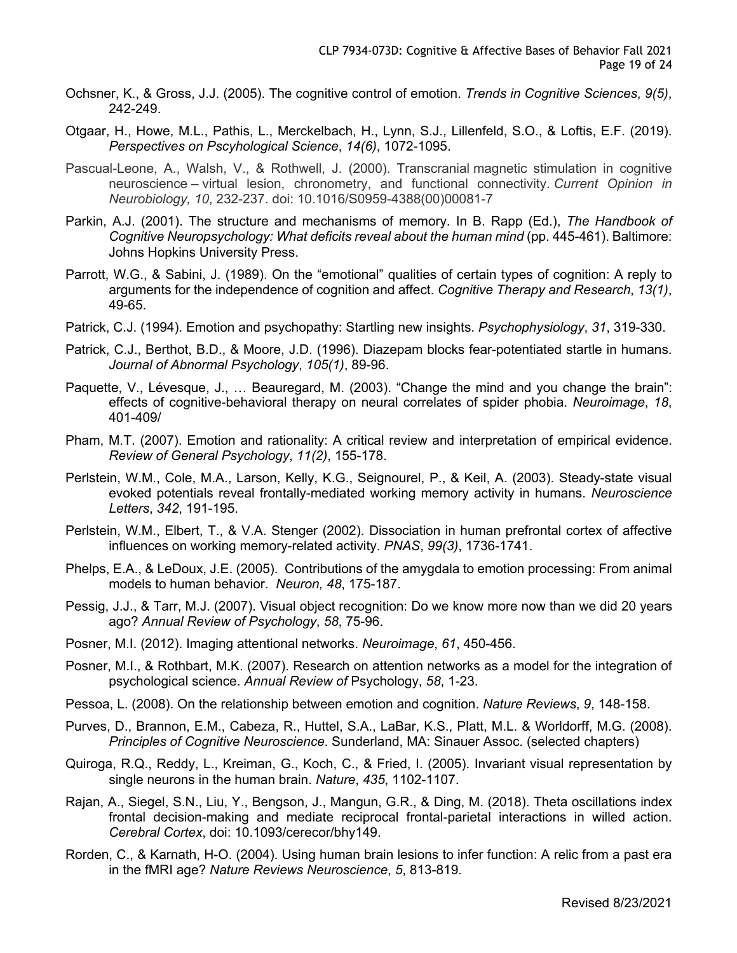- Ochsner, K., & Gross, J.J. (2005). The cognitive control of emotion. *Trends in Cognitive Sciences*, *9(5)*, 242-249.
- Otgaar, H., Howe, M.L., Pathis, L., Merckelbach, H., Lynn, S.J., Lillenfeld, S.O., & Loftis, E.F. (2019). *Perspectives on Pscyhological Science*, *14(6)*, 1072-1095.
- Pascual-Leone, A., Walsh, V., & Rothwell, J. (2000). Transcranial magnetic stimulation in cognitive neuroscience – virtual lesion, chronometry, and functional connectivity. *Current Opinion in Neurobiology, 10*, 232-237. doi: 10.1016/S0959-4388(00)00081-7
- Parkin, A.J. (2001). The structure and mechanisms of memory. In B. Rapp (Ed.), *The Handbook of Cognitive Neuropsychology: What deficits reveal about the human mind* (pp. 445-461). Baltimore: Johns Hopkins University Press.
- Parrott, W.G., & Sabini, J. (1989). On the "emotional" qualities of certain types of cognition: A reply to arguments for the independence of cognition and affect. *Cognitive Therapy and Research*, *13(1)*, 49-65.
- Patrick, C.J. (1994). Emotion and psychopathy: Startling new insights. *Psychophysiology*, *31*, 319-330.
- Patrick, C.J., Berthot, B.D., & Moore, J.D. (1996). Diazepam blocks fear-potentiated startle in humans. *Journal of Abnormal Psychology*, *105(1)*, 89-96.
- Paquette, V., Lévesque, J., … Beauregard, M. (2003). "Change the mind and you change the brain": effects of cognitive-behavioral therapy on neural correlates of spider phobia. *Neuroimage*, *18*, 401-409/
- Pham, M.T. (2007). Emotion and rationality: A critical review and interpretation of empirical evidence. *Review of General Psychology*, *11(2)*, 155-178.
- Perlstein, W.M., Cole, M.A., Larson, Kelly, K.G., Seignourel, P., & Keil, A. (2003). Steady-state visual evoked potentials reveal frontally-mediated working memory activity in humans. *Neuroscience Letters*, *342*, 191-195.
- Perlstein, W.M., Elbert, T., & V.A. Stenger (2002). Dissociation in human prefrontal cortex of affective influences on working memory-related activity. *PNAS*, *99(3)*, 1736-1741.
- Phelps, E.A., & LeDoux, J.E. (2005). Contributions of the amygdala to emotion processing: From animal models to human behavior. *Neuron, 48*, 175-187.
- Pessig, J.J., & Tarr, M.J. (2007). Visual object recognition: Do we know more now than we did 20 years ago? *Annual Review of Psychology*, *58*, 75-96.
- Posner, M.I. (2012). Imaging attentional networks. *Neuroimage*, *61*, 450-456.
- Posner, M.I., & Rothbart, M.K. (2007). Research on attention networks as a model for the integration of psychological science. *Annual Review of* Psychology, *58*, 1-23.
- Pessoa, L. (2008). On the relationship between emotion and cognition. *Nature Reviews*, *9*, 148-158.
- Purves, D., Brannon, E.M., Cabeza, R., Huttel, S.A., LaBar, K.S., Platt, M.L. & Worldorff, M.G. (2008). *Principles of Cognitive Neuroscience*. Sunderland, MA: Sinauer Assoc. (selected chapters)
- Quiroga, R.Q., Reddy, L., Kreiman, G., Koch, C., & Fried, I. (2005). Invariant visual representation by single neurons in the human brain. *Nature*, *435*, 1102-1107.
- Rajan, A., Siegel, S.N., Liu, Y., Bengson, J., Mangun, G.R., & Ding, M. (2018). Theta oscillations index frontal decision-making and mediate reciprocal frontal-parietal interactions in willed action. *Cerebral Cortex*, doi: 10.1093/cerecor/bhy149.
- Rorden, C., & Karnath, H-O. (2004). Using human brain lesions to infer function: A relic from a past era in the fMRI age? *Nature Reviews Neuroscience*, *5*, 813-819.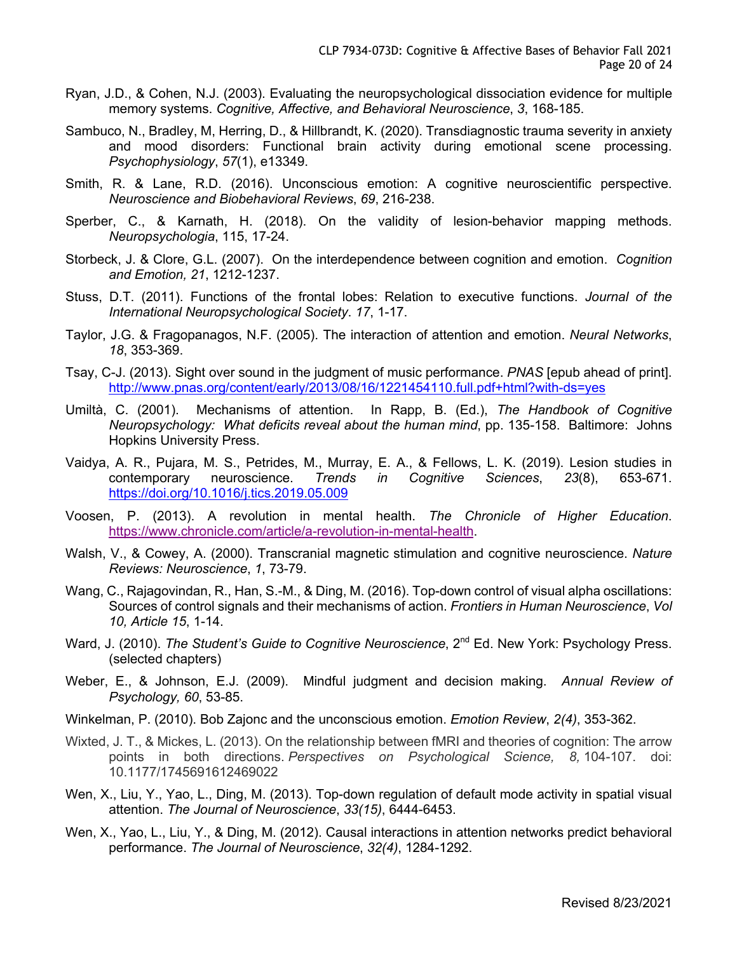- Ryan, J.D., & Cohen, N.J. (2003). Evaluating the neuropsychological dissociation evidence for multiple memory systems. *Cognitive, Affective, and Behavioral Neuroscience*, *3*, 168-185.
- Sambuco, N., Bradley, M, Herring, D., & Hillbrandt, K. (2020). Transdiagnostic trauma severity in anxiety and mood disorders: Functional brain activity during emotional scene processing. *Psychophysiology*, *57*(1), e13349.
- Smith, R. & Lane, R.D. (2016). Unconscious emotion: A cognitive neuroscientific perspective. *Neuroscience and Biobehavioral Reviews*, *69*, 216-238.
- Sperber, C., & Karnath, H. (2018). On the validity of lesion-behavior mapping methods. *Neuropsychologia*, 115, 17-24.
- Storbeck, J. & Clore, G.L. (2007). On the interdependence between cognition and emotion. *Cognition and Emotion, 21*, 1212-1237.
- Stuss, D.T. (2011). Functions of the frontal lobes: Relation to executive functions. *Journal of the International Neuropsychological Society*. *17*, 1-17.
- Taylor, J.G. & Fragopanagos, N.F. (2005). The interaction of attention and emotion. *Neural Networks*, *18*, 353-369.
- Tsay, C-J. (2013). Sight over sound in the judgment of music performance. *PNAS* [epub ahead of print]. http://www.pnas.org/content/early/2013/08/16/1221454110.full.pdf+html?with-ds=yes
- Umiltà, C. (2001). Mechanisms of attention. In Rapp, B. (Ed.), *The Handbook of Cognitive Neuropsychology: What deficits reveal about the human mind*, pp. 135-158. Baltimore: Johns Hopkins University Press.
- Vaidya, A. R., Pujara, M. S., Petrides, M., Murray, E. A., & Fellows, L. K. (2019). Lesion studies in contemporary neuroscience. *Trends in Cognitive Sciences*, *23*(8), 653-671. https://doi.org/10.1016/j.tics.2019.05.009
- Voosen, P. (2013). A revolution in mental health. *The Chronicle of Higher Education*. https://www.chronicle.com/article/a-revolution-in-mental-health.
- Walsh, V., & Cowey, A. (2000). Transcranial magnetic stimulation and cognitive neuroscience. *Nature Reviews: Neuroscience*, *1*, 73-79.
- Wang, C., Rajagovindan, R., Han, S.-M., & Ding, M. (2016). Top-down control of visual alpha oscillations: Sources of control signals and their mechanisms of action. *Frontiers in Human Neuroscience*, *Vol 10, Article 15*, 1-14.
- Ward, J. (2010). *The Student's Guide to Cognitive Neuroscience*, 2<sup>nd</sup> Ed. New York: Psychology Press. (selected chapters)
- Weber, E., & Johnson, E.J. (2009). Mindful judgment and decision making. *Annual Review of Psychology, 60*, 53-85.
- Winkelman, P. (2010). Bob Zajonc and the unconscious emotion. *Emotion Review*, *2(4)*, 353-362.
- Wixted, J. T., & Mickes, L. (2013). On the relationship between fMRI and theories of cognition: The arrow points in both directions. *Perspectives on Psychological Science, 8,* 104-107. doi: 10.1177/1745691612469022
- Wen, X., Liu, Y., Yao, L., Ding, M. (2013). Top-down regulation of default mode activity in spatial visual attention. *The Journal of Neuroscience*, *33(15)*, 6444-6453.
- Wen, X., Yao, L., Liu, Y., & Ding, M. (2012). Causal interactions in attention networks predict behavioral performance. *The Journal of Neuroscience*, *32(4)*, 1284-1292.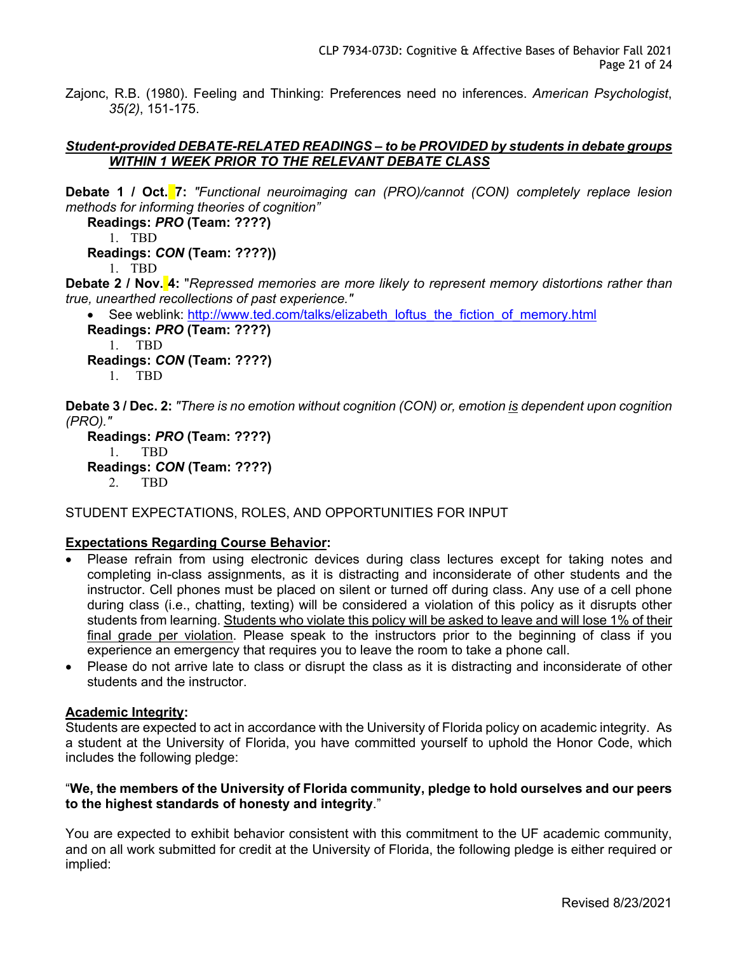Zajonc, R.B. (1980). Feeling and Thinking: Preferences need no inferences. *American Psychologist*, *35(2)*, 151-175.

### *Student-provided DEBATE-RELATED READINGS – to be PROVIDED by students in debate groups WITHIN 1 WEEK PRIOR TO THE RELEVANT DEBATE CLASS*

**Debate 1 / Oct. 7:** *"Functional neuroimaging can (PRO)/cannot (CON) completely replace lesion methods for informing theories of cognition"*

**Readings:** *PRO* **(Team: ????)**

1. TBD

**Readings:** *CON* **(Team: ????))**

1. TBD

**Debate 2 / Nov. 4:** "*Repressed memories are more likely to represent memory distortions rather than true, unearthed recollections of past experience."*

See weblink: http://www.ted.com/talks/elizabeth\_loftus\_the\_fiction\_of\_memory.html **Readings:** *PRO* **(Team: ????)** 1. TBD **Readings:** *CON* **(Team: ????)**

1. TBD

**Debate 3 / Dec. 2:** *"There is no emotion without cognition (CON) or, emotion is dependent upon cognition (PRO)."*

**Readings:** *PRO* **(Team: ????)** 1. TBD **Readings:** *CON* **(Team: ????)** 2. TBD

STUDENT EXPECTATIONS, ROLES, AND OPPORTUNITIES FOR INPUT

# **Expectations Regarding Course Behavior:**

- Please refrain from using electronic devices during class lectures except for taking notes and completing in-class assignments, as it is distracting and inconsiderate of other students and the instructor. Cell phones must be placed on silent or turned off during class. Any use of a cell phone during class (i.e., chatting, texting) will be considered a violation of this policy as it disrupts other students from learning. Students who violate this policy will be asked to leave and will lose 1% of their final grade per violation. Please speak to the instructors prior to the beginning of class if you experience an emergency that requires you to leave the room to take a phone call.
- Please do not arrive late to class or disrupt the class as it is distracting and inconsiderate of other students and the instructor.

#### **Academic Integrity:**

Students are expected to act in accordance with the University of Florida policy on academic integrity. As a student at the University of Florida, you have committed yourself to uphold the Honor Code, which includes the following pledge:

# "**We, the members of the University of Florida community, pledge to hold ourselves and our peers to the highest standards of honesty and integrity**."

You are expected to exhibit behavior consistent with this commitment to the UF academic community, and on all work submitted for credit at the University of Florida, the following pledge is either required or implied: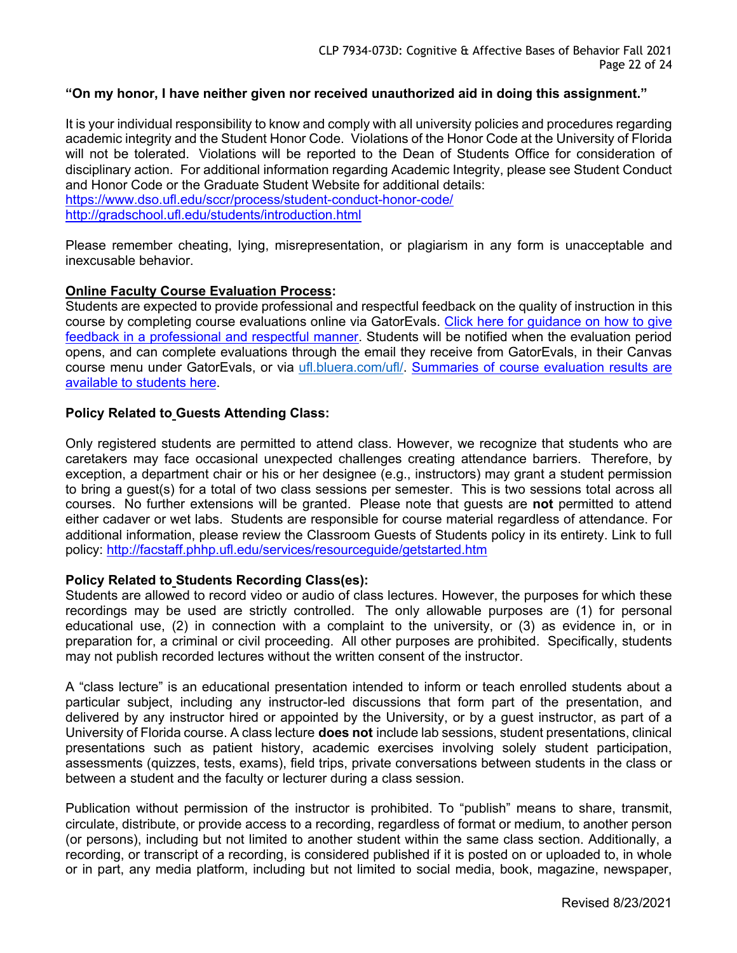# **"On my honor, I have neither given nor received unauthorized aid in doing this assignment."**

It is your individual responsibility to know and comply with all university policies and procedures regarding academic integrity and the Student Honor Code. Violations of the Honor Code at the University of Florida will not be tolerated. Violations will be reported to the Dean of Students Office for consideration of disciplinary action. For additional information regarding Academic Integrity, please see Student Conduct and Honor Code or the Graduate Student Website for additional details: https://www.dso.ufl.edu/sccr/process/student-conduct-honor-code/

http://gradschool.ufl.edu/students/introduction.html

Please remember cheating, lying, misrepresentation, or plagiarism in any form is unacceptable and inexcusable behavior.

# **Online Faculty Course Evaluation Process:**

Students are expected to provide professional and respectful feedback on the quality of instruction in this course by completing course evaluations online via GatorEvals. Click here for guidance on how to give feedback in a professional and respectful manner. Students will be notified when the evaluation period opens, and can complete evaluations through the email they receive from GatorEvals, in their Canvas course menu under GatorEvals, or via ufl.bluera.com/ufl/. Summaries of course evaluation results are available to students here.

# **Policy Related to Guests Attending Class:**

Only registered students are permitted to attend class. However, we recognize that students who are caretakers may face occasional unexpected challenges creating attendance barriers. Therefore, by exception, a department chair or his or her designee (e.g., instructors) may grant a student permission to bring a guest(s) for a total of two class sessions per semester. This is two sessions total across all courses. No further extensions will be granted. Please note that guests are **not** permitted to attend either cadaver or wet labs. Students are responsible for course material regardless of attendance. For additional information, please review the Classroom Guests of Students policy in its entirety. Link to full policy: http://facstaff.phhp.ufl.edu/services/resourceguide/getstarted.htm

#### **Policy Related to Students Recording Class(es):**

Students are allowed to record video or audio of class lectures. However, the purposes for which these recordings may be used are strictly controlled. The only allowable purposes are (1) for personal educational use, (2) in connection with a complaint to the university, or (3) as evidence in, or in preparation for, a criminal or civil proceeding. All other purposes are prohibited. Specifically, students may not publish recorded lectures without the written consent of the instructor.

A "class lecture" is an educational presentation intended to inform or teach enrolled students about a particular subject, including any instructor-led discussions that form part of the presentation, and delivered by any instructor hired or appointed by the University, or by a guest instructor, as part of a University of Florida course. A class lecture **does not** include lab sessions, student presentations, clinical presentations such as patient history, academic exercises involving solely student participation, assessments (quizzes, tests, exams), field trips, private conversations between students in the class or between a student and the faculty or lecturer during a class session.

Publication without permission of the instructor is prohibited. To "publish" means to share, transmit, circulate, distribute, or provide access to a recording, regardless of format or medium, to another person (or persons), including but not limited to another student within the same class section. Additionally, a recording, or transcript of a recording, is considered published if it is posted on or uploaded to, in whole or in part, any media platform, including but not limited to social media, book, magazine, newspaper,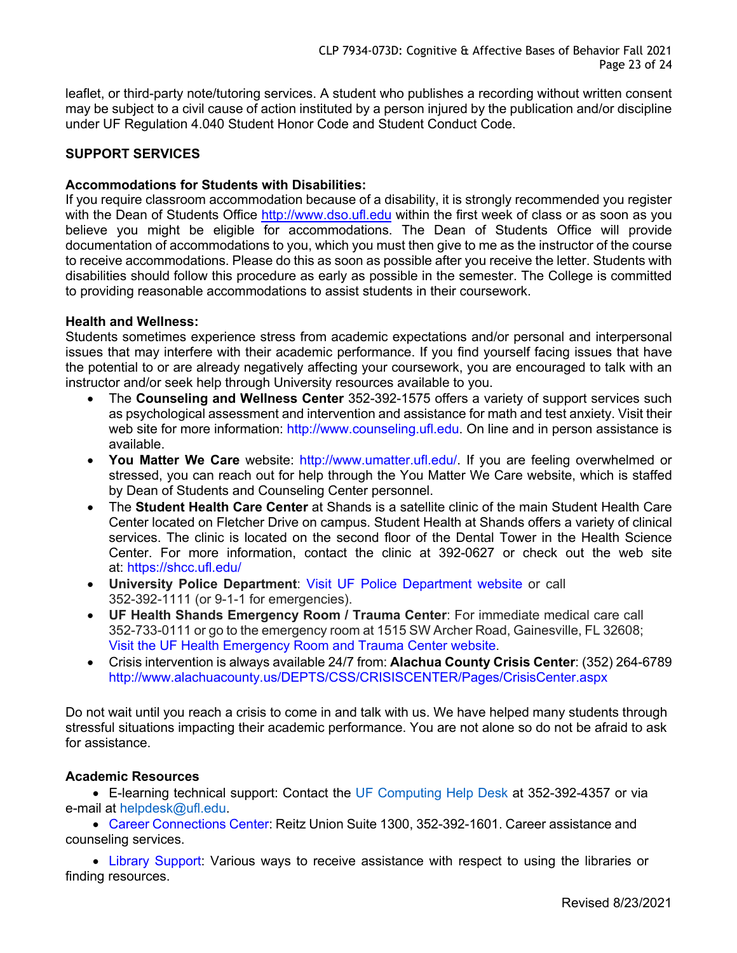leaflet, or third-party note/tutoring services. A student who publishes a recording without written consent may be subject to a civil cause of action instituted by a person injured by the publication and/or discipline under UF Regulation 4.040 Student Honor Code and Student Conduct Code.

# **SUPPORT SERVICES**

# **Accommodations for Students with Disabilities:**

If you require classroom accommodation because of a disability, it is strongly recommended you register with the Dean of Students Office http://www.dso.ufl.edu within the first week of class or as soon as you believe you might be eligible for accommodations. The Dean of Students Office will provide documentation of accommodations to you, which you must then give to me as the instructor of the course to receive accommodations. Please do this as soon as possible after you receive the letter. Students with disabilities should follow this procedure as early as possible in the semester. The College is committed to providing reasonable accommodations to assist students in their coursework.

# **Health and Wellness:**

Students sometimes experience stress from academic expectations and/or personal and interpersonal issues that may interfere with their academic performance. If you find yourself facing issues that have the potential to or are already negatively affecting your coursework, you are encouraged to talk with an instructor and/or seek help through University resources available to you.

- The **Counseling and Wellness Center** 352-392-1575 offers a variety of support services such as psychological assessment and intervention and assistance for math and test anxiety. Visit their web site for more information: http://www.counseling.ufl.edu. On line and in person assistance is available.
- **You Matter We Care** website: http://www.umatter.ufl.edu/. If you are feeling overwhelmed or stressed, you can reach out for help through the You Matter We Care website, which is staffed by Dean of Students and Counseling Center personnel.
- The **Student Health Care Center** at Shands is a satellite clinic of the main Student Health Care Center located on Fletcher Drive on campus. Student Health at Shands offers a variety of clinical services. The clinic is located on the second floor of the Dental Tower in the Health Science Center. For more information, contact the clinic at 392-0627 or check out the web site at: https://shcc.ufl.edu/
- **University Police Department**: Visit UF Police Department website or call 352-392-1111 (or 9-1-1 for emergencies).
- **UF Health Shands Emergency Room / Trauma Center**: For immediate medical care call 352-733-0111 or go to the emergency room at 1515 SW Archer Road, Gainesville, FL 32608; Visit the UF Health Emergency Room and Trauma Center website.
- Crisis intervention is always available 24/7 from: **Alachua County Crisis Center**: (352) 264-6789 http://www.alachuacounty.us/DEPTS/CSS/CRISISCENTER/Pages/CrisisCenter.aspx

Do not wait until you reach a crisis to come in and talk with us. We have helped many students through stressful situations impacting their academic performance. You are not alone so do not be afraid to ask for assistance.

#### **Academic Resources**

• E-learning technical support: Contact the UF Computing Help Desk at 352-392-4357 or via e-mail at helpdesk@ufl.edu.

• Career Connections Center: Reitz Union Suite 1300, 352-392-1601. Career assistance and counseling services.

• Library Support: Various ways to receive assistance with respect to using the libraries or finding resources.